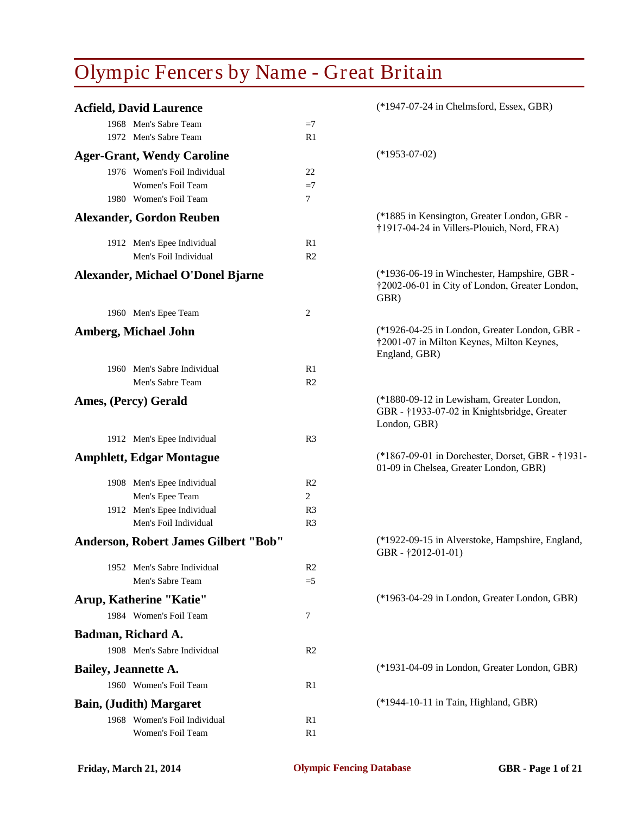| <b>Acfield, David Laurence</b>       |                | (*1947-07-24 in Chelmsford, Essex, GBR)                                                                     |
|--------------------------------------|----------------|-------------------------------------------------------------------------------------------------------------|
| 1968 Men's Sabre Team                | $=7$           |                                                                                                             |
| 1972 Men's Sabre Team                | R1             |                                                                                                             |
| <b>Ager-Grant, Wendy Caroline</b>    |                | $(*1953-07-02)$                                                                                             |
| 1976 Women's Foil Individual         | 22             |                                                                                                             |
| Women's Foil Team                    | $=7$           |                                                                                                             |
| 1980 Women's Foil Team               | 7              |                                                                                                             |
| <b>Alexander, Gordon Reuben</b>      |                | (*1885 in Kensington, Greater London, GBR -<br>†1917-04-24 in Villers-Plouich, Nord, FRA)                   |
| 1912 Men's Epee Individual           | R1             |                                                                                                             |
| Men's Foil Individual                | R <sub>2</sub> |                                                                                                             |
| Alexander, Michael O'Donel Bjarne    |                | (*1936-06-19 in Winchester, Hampshire, GBR -<br>†2002-06-01 in City of London, Greater London,<br>GBR)      |
| 1960 Men's Epee Team                 | 2              |                                                                                                             |
| <b>Amberg, Michael John</b>          |                | (*1926-04-25 in London, Greater London, GBR -<br>†2001-07 in Milton Keynes, Milton Keynes,<br>England, GBR) |
| 1960 Men's Sabre Individual          | R1             |                                                                                                             |
| Men's Sabre Team                     | R <sub>2</sub> |                                                                                                             |
| Ames, (Percy) Gerald                 |                | (*1880-09-12 in Lewisham, Greater London,<br>GBR - †1933-07-02 in Knightsbridge, Greater<br>London, GBR)    |
| 1912 Men's Epee Individual           | R <sub>3</sub> |                                                                                                             |
| <b>Amphlett, Edgar Montague</b>      |                | (*1867-09-01 in Dorchester, Dorset, GBR - †1931-<br>01-09 in Chelsea, Greater London, GBR)                  |
| 1908 Men's Epee Individual           | R <sub>2</sub> |                                                                                                             |
| Men's Epee Team                      | 2              |                                                                                                             |
| 1912 Men's Epee Individual           | R <sub>3</sub> |                                                                                                             |
| Men's Foil Individual                | R <sub>3</sub> |                                                                                                             |
| Anderson, Robert James Gilbert "Bob" |                | (*1922-09-15 in Alverstoke, Hampshire, England,<br>GBR - $\uparrow$ 2012-01-01)                             |
| 1952 Men's Sabre Individual          | R <sub>2</sub> |                                                                                                             |
| Men's Sabre Team                     | $=5$           |                                                                                                             |
| Arup, Katherine "Katie"              |                | (*1963-04-29 in London, Greater London, GBR)                                                                |
| 1984 Women's Foil Team               | 7              |                                                                                                             |
| Badman, Richard A.                   |                |                                                                                                             |
| 1908 Men's Sabre Individual          | R <sub>2</sub> |                                                                                                             |
| <b>Bailey, Jeannette A.</b>          |                | (*1931-04-09 in London, Greater London, GBR)                                                                |
| 1960 Women's Foil Team               | R1             |                                                                                                             |
| <b>Bain, (Judith) Margaret</b>       |                | (*1944-10-11 in Tain, Highland, GBR)                                                                        |
| 1968 Women's Foil Individual         | R1             |                                                                                                             |
| Women's Foil Team                    | R <sub>1</sub> |                                                                                                             |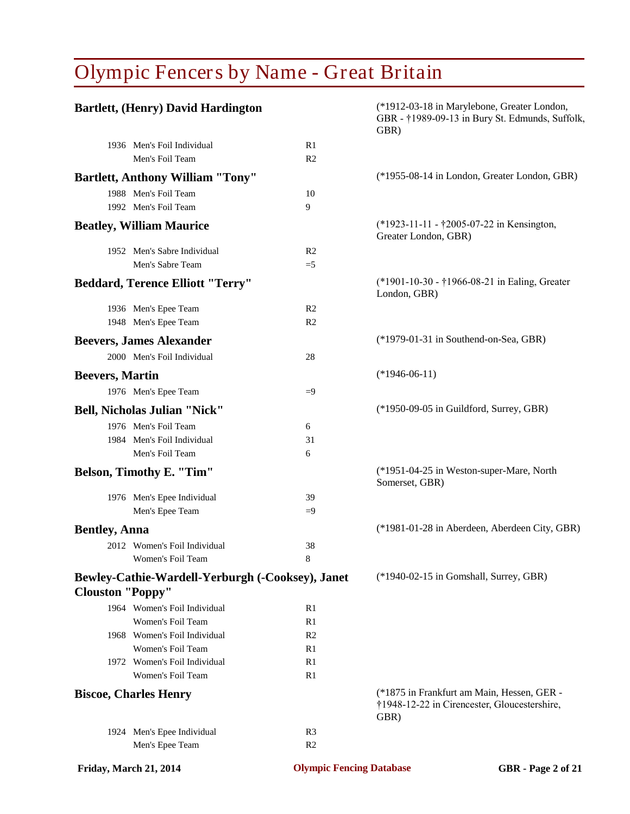|                         | <b>Bartlett, (Henry) David Hardington</b>        |                | (*1912-03-18 in Marylebone, Greater London,<br>GBR - †1989-09-13 in Bury St. Edmunds, Suffolk,<br>GBR) |
|-------------------------|--------------------------------------------------|----------------|--------------------------------------------------------------------------------------------------------|
|                         | 1936 Men's Foil Individual                       | R1             |                                                                                                        |
|                         | Men's Foil Team                                  | R <sub>2</sub> |                                                                                                        |
|                         | <b>Bartlett, Anthony William "Tony"</b>          |                | (*1955-08-14 in London, Greater London, GBR)                                                           |
|                         | 1988 Men's Foil Team                             | 10             |                                                                                                        |
|                         | 1992 Men's Foil Team                             | 9              |                                                                                                        |
|                         | <b>Beatley, William Maurice</b>                  |                | (*1923-11-11 - †2005-07-22 in Kensington,<br>Greater London, GBR)                                      |
|                         | 1952 Men's Sabre Individual                      | R <sub>2</sub> |                                                                                                        |
|                         | Men's Sabre Team                                 | $=5$           |                                                                                                        |
|                         | <b>Beddard, Terence Elliott "Terry"</b>          |                | (*1901-10-30 - †1966-08-21 in Ealing, Greater<br>London, GBR)                                          |
|                         | 1936 Men's Epee Team                             | R <sub>2</sub> |                                                                                                        |
|                         | 1948 Men's Epee Team                             | R <sub>2</sub> |                                                                                                        |
|                         | <b>Beevers, James Alexander</b>                  |                | (*1979-01-31 in Southend-on-Sea, GBR)                                                                  |
|                         | 2000 Men's Foil Individual                       | 28             |                                                                                                        |
| <b>Beevers, Martin</b>  |                                                  |                | $(*1946-06-11)$                                                                                        |
|                         | 1976 Men's Epee Team                             | $=9$           |                                                                                                        |
|                         | <b>Bell, Nicholas Julian "Nick"</b>              |                | (*1950-09-05 in Guildford, Surrey, GBR)                                                                |
|                         | 1976 Men's Foil Team                             | 6              |                                                                                                        |
|                         | 1984 Men's Foil Individual                       | 31             |                                                                                                        |
|                         | Men's Foil Team                                  | 6              |                                                                                                        |
|                         | <b>Belson, Timothy E. "Tim"</b>                  |                | (*1951-04-25 in Weston-super-Mare, North<br>Somerset, GBR)                                             |
|                         | 1976 Men's Epee Individual                       | 39             |                                                                                                        |
|                         | Men's Epee Team                                  | $=9$           |                                                                                                        |
| <b>Bentley, Anna</b>    |                                                  |                | (*1981-01-28 in Aberdeen, Aberdeen City, GBR)                                                          |
|                         | 2012 Women's Foil Individual                     | 38             |                                                                                                        |
|                         | Women's Foil Team                                | $\mathbf{R}$   |                                                                                                        |
| <b>Clouston "Poppy"</b> | Bewley-Cathie-Wardell-Yerburgh (-Cooksey), Janet |                | (*1940-02-15 in Gomshall, Surrey, GBR)                                                                 |
|                         | 1964 Women's Foil Individual                     | R1             |                                                                                                        |
|                         | Women's Foil Team                                | R1             |                                                                                                        |
|                         | 1968 Women's Foil Individual                     | R <sub>2</sub> |                                                                                                        |
|                         | Women's Foil Team                                | R1             |                                                                                                        |
|                         | 1972 Women's Foil Individual                     | R1             |                                                                                                        |
|                         | Women's Foil Team                                | R1             |                                                                                                        |
|                         | <b>Biscoe, Charles Henry</b>                     |                | (*1875 in Frankfurt am Main, Hessen, GER -<br>†1948-12-22 in Cirencester, Gloucestershire,<br>GBR)     |
|                         | 1924 Men's Epee Individual                       | R <sub>3</sub> |                                                                                                        |
|                         | Men's Epee Team                                  | R <sub>2</sub> |                                                                                                        |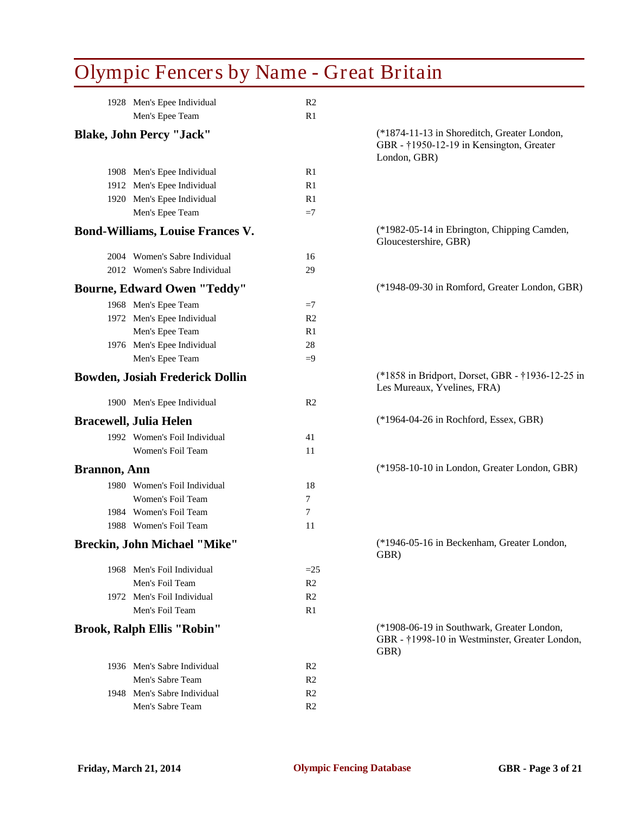|                      | 1928 Men's Epee Individual              | R <sub>2</sub> |                                                                                                         |
|----------------------|-----------------------------------------|----------------|---------------------------------------------------------------------------------------------------------|
|                      | Men's Epee Team                         | R1             |                                                                                                         |
|                      | <b>Blake, John Percy "Jack"</b>         |                | (*1874-11-13 in Shoreditch, Greater London,<br>GBR - †1950-12-19 in Kensington, Greater<br>London, GBR) |
|                      | 1908 Men's Epee Individual              | R1             |                                                                                                         |
|                      | 1912 Men's Epee Individual              | R1             |                                                                                                         |
|                      | 1920 Men's Epee Individual              | R1             |                                                                                                         |
|                      | Men's Epee Team                         | $=7$           |                                                                                                         |
|                      | <b>Bond-Williams, Louise Frances V.</b> |                | (*1982-05-14 in Ebrington, Chipping Camden,<br>Gloucestershire, GBR)                                    |
|                      | 2004 Women's Sabre Individual           | 16             |                                                                                                         |
|                      | 2012 Women's Sabre Individual           | 29             |                                                                                                         |
|                      | <b>Bourne, Edward Owen "Teddy"</b>      |                | (*1948-09-30 in Romford, Greater London, GBR)                                                           |
|                      | 1968 Men's Epee Team                    | $=7$           |                                                                                                         |
|                      | 1972 Men's Epee Individual              | R <sub>2</sub> |                                                                                                         |
|                      | Men's Epee Team                         | R1             |                                                                                                         |
|                      | 1976 Men's Epee Individual              | 28             |                                                                                                         |
|                      | Men's Epee Team                         | $=9$           |                                                                                                         |
|                      | <b>Bowden, Josiah Frederick Dollin</b>  |                | (*1858 in Bridport, Dorset, GBR - †1936-12-25 in<br>Les Mureaux, Yvelines, FRA)                         |
|                      | 1900 Men's Epee Individual              | R <sub>2</sub> |                                                                                                         |
|                      | <b>Bracewell, Julia Helen</b>           |                | (*1964-04-26 in Rochford, Essex, GBR)                                                                   |
|                      | 1992 Women's Foil Individual            | 41             |                                                                                                         |
|                      | Women's Foil Team                       | 11             |                                                                                                         |
| <b>Brannon</b> , Ann |                                         |                | (*1958-10-10 in London, Greater London, GBR)                                                            |
|                      | 1980 Women's Foil Individual            | 18             |                                                                                                         |
|                      | Women's Foil Team                       | 7              |                                                                                                         |
|                      | 1984 Women's Foil Team                  | 7              |                                                                                                         |
|                      | 1988 Women's Foil Team                  | 11             |                                                                                                         |
|                      | <b>Breckin, John Michael "Mike"</b>     |                | (*1946-05-16 in Beckenham, Greater London,<br>GBR)                                                      |
|                      | 1968 Men's Foil Individual              | $=25$          |                                                                                                         |
|                      | Men's Foil Team                         | R <sub>2</sub> |                                                                                                         |
|                      | 1972 Men's Foil Individual              | R <sub>2</sub> |                                                                                                         |
|                      | Men's Foil Team                         | R1             |                                                                                                         |
|                      | <b>Brook, Ralph Ellis "Robin"</b>       |                | (*1908-06-19 in Southwark, Greater London,<br>GBR - †1998-10 in Westminster, Greater London,<br>GBR)    |
|                      | 1936 Men's Sabre Individual             | R <sub>2</sub> |                                                                                                         |
|                      | Men's Sabre Team                        | R <sub>2</sub> |                                                                                                         |
|                      | 1948 Men's Sabre Individual             | R <sub>2</sub> |                                                                                                         |
|                      | Men's Sabre Team                        | R <sub>2</sub> |                                                                                                         |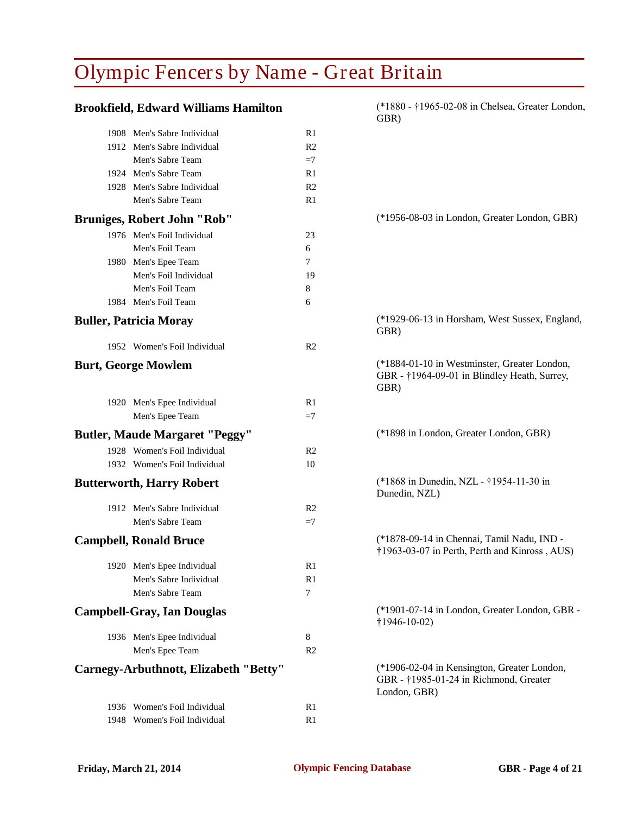| <b>Brookfield, Edward Williams Hamilton</b> |                | (*1880 - †1965-02-08 in Chelsea, Greater London,<br>GBR)                                              |
|---------------------------------------------|----------------|-------------------------------------------------------------------------------------------------------|
| 1908 Men's Sabre Individual                 | R1             |                                                                                                       |
| 1912 Men's Sabre Individual                 | R <sub>2</sub> |                                                                                                       |
| Men's Sabre Team                            | $=7$           |                                                                                                       |
| 1924 Men's Sabre Team                       | R1             |                                                                                                       |
| 1928 Men's Sabre Individual                 | R <sub>2</sub> |                                                                                                       |
| Men's Sabre Team                            | R1             |                                                                                                       |
| <b>Bruniges, Robert John "Rob"</b>          |                | (*1956-08-03 in London, Greater London, GBR)                                                          |
| 1976 Men's Foil Individual                  | 23             |                                                                                                       |
| Men's Foil Team                             | 6              |                                                                                                       |
| 1980 Men's Epee Team                        | 7              |                                                                                                       |
| Men's Foil Individual                       | 19             |                                                                                                       |
| Men's Foil Team                             | 8              |                                                                                                       |
| 1984 Men's Foil Team                        | 6              |                                                                                                       |
| <b>Buller, Patricia Moray</b>               |                | (*1929-06-13 in Horsham, West Sussex, England,<br>GBR)                                                |
| 1952 Women's Foil Individual                | R2             |                                                                                                       |
| <b>Burt, George Mowlem</b>                  |                | (*1884-01-10 in Westminster, Greater London,<br>GBR - †1964-09-01 in Blindley Heath, Surrey,<br>GBR)  |
| 1920 Men's Epee Individual                  | R1             |                                                                                                       |
| Men's Epee Team                             | $=7$           |                                                                                                       |
| <b>Butler, Maude Margaret "Peggy"</b>       |                | (*1898 in London, Greater London, GBR)                                                                |
| 1928 Women's Foil Individual                | R <sub>2</sub> |                                                                                                       |
| 1932 Women's Foil Individual                | 10             |                                                                                                       |
| <b>Butterworth, Harry Robert</b>            |                | (*1868 in Dunedin, NZL - †1954-11-30 in<br>Dunedin, NZL)                                              |
| 1912 Men's Sabre Individual                 | R <sub>2</sub> |                                                                                                       |
| Men's Sabre Team                            | $=7$           |                                                                                                       |
| <b>Campbell, Ronald Bruce</b>               |                | (*1878-09-14 in Chennai, Tamil Nadu, IND -<br>†1963-03-07 in Perth, Perth and Kinross, AUS)           |
| 1920 Men's Epee Individual                  | R1             |                                                                                                       |
| Men's Sabre Individual                      | R1             |                                                                                                       |
| Men's Sabre Team                            | 7              |                                                                                                       |
| <b>Campbell-Gray, Ian Douglas</b>           |                | (*1901-07-14 in London, Greater London, GBR -<br>$\uparrow$ 1946-10-02)                               |
| 1936 Men's Epee Individual                  | 8              |                                                                                                       |
| Men's Epee Team                             | R <sub>2</sub> |                                                                                                       |
|                                             |                |                                                                                                       |
| Carnegy-Arbuthnott, Elizabeth "Betty"       |                | (*1906-02-04 in Kensington, Greater London,<br>GBR - †1985-01-24 in Richmond, Greater<br>London, GBR) |
| 1936 Women's Foil Individual                | R <sub>1</sub> |                                                                                                       |
| 1948 Women's Foil Individual                | R <sub>1</sub> |                                                                                                       |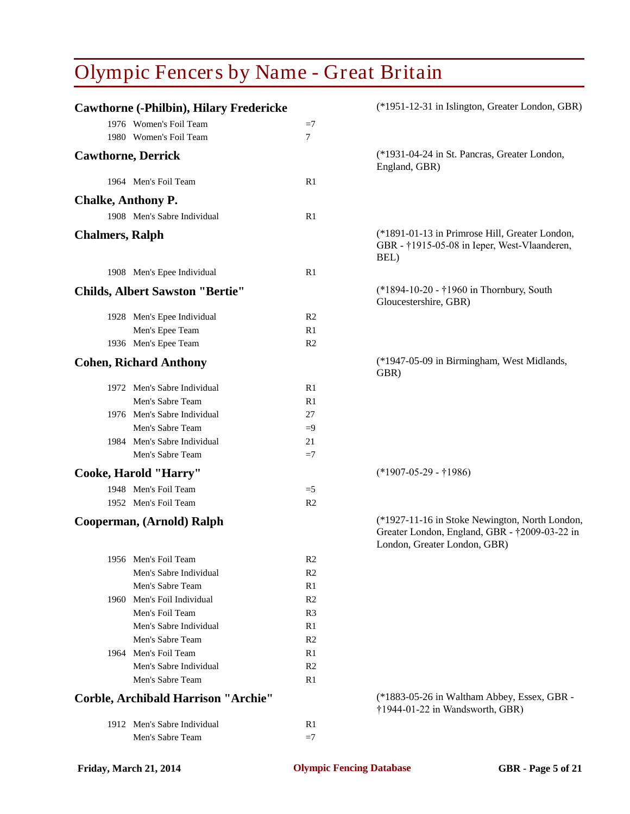|                           | <b>Cawthorne (-Philbin), Hilary Fredericke</b> |                | (*1951-12-31 in Islington, Greater London, GBR)                                                                                 |
|---------------------------|------------------------------------------------|----------------|---------------------------------------------------------------------------------------------------------------------------------|
|                           | 1976 Women's Foil Team                         | $=7$           |                                                                                                                                 |
|                           | 1980 Women's Foil Team                         | 7              |                                                                                                                                 |
| <b>Cawthorne, Derrick</b> |                                                |                | (*1931-04-24 in St. Pancras, Greater London,<br>England, GBR)                                                                   |
|                           | 1964 Men's Foil Team                           | R1             |                                                                                                                                 |
|                           |                                                |                |                                                                                                                                 |
| <b>Chalke, Anthony P.</b> |                                                |                |                                                                                                                                 |
|                           | 1908 Men's Sabre Individual                    | R1             |                                                                                                                                 |
| <b>Chalmers</b> , Ralph   |                                                |                | (*1891-01-13 in Primrose Hill, Greater London,<br>GBR - †1915-05-08 in Ieper, West-Vlaanderen,<br>BEL)                          |
|                           | 1908 Men's Epee Individual                     | R <sub>1</sub> |                                                                                                                                 |
|                           | <b>Childs, Albert Sawston "Bertie"</b>         |                | (*1894-10-20 - †1960 in Thornbury, South<br>Gloucestershire, GBR)                                                               |
|                           | 1928 Men's Epee Individual                     | R <sub>2</sub> |                                                                                                                                 |
|                           | Men's Epee Team                                | R1             |                                                                                                                                 |
|                           | 1936 Men's Epee Team                           | R <sub>2</sub> |                                                                                                                                 |
|                           | <b>Cohen, Richard Anthony</b>                  |                | (*1947-05-09 in Birmingham, West Midlands,<br>GBR)                                                                              |
|                           | 1972 Men's Sabre Individual                    | R1             |                                                                                                                                 |
|                           | Men's Sabre Team                               | R1             |                                                                                                                                 |
|                           | 1976 Men's Sabre Individual                    | 27             |                                                                                                                                 |
|                           | Men's Sabre Team                               | $=9$           |                                                                                                                                 |
|                           | 1984 Men's Sabre Individual                    | 21             |                                                                                                                                 |
|                           | Men's Sabre Team                               | $=7$           |                                                                                                                                 |
|                           | Cooke, Harold "Harry"                          |                | $(*1907-05-29 - *1986)$                                                                                                         |
|                           | 1948 Men's Foil Team                           | $=5$           |                                                                                                                                 |
|                           | 1952 Men's Foil Team                           | R <sub>2</sub> |                                                                                                                                 |
|                           | Cooperman, (Arnold) Ralph                      |                | (*1927-11-16 in Stoke Newington, North London,<br>Greater London, England, GBR - †2009-03-22 in<br>London, Greater London, GBR) |
|                           | 1956 Men's Foil Team                           | R <sub>2</sub> |                                                                                                                                 |
|                           | Men's Sabre Individual                         | R <sub>2</sub> |                                                                                                                                 |
|                           | Men's Sabre Team                               | R1             |                                                                                                                                 |
|                           | 1960 Men's Foil Individual                     | R <sub>2</sub> |                                                                                                                                 |
|                           | Men's Foil Team                                | R <sub>3</sub> |                                                                                                                                 |
|                           | Men's Sabre Individual                         | R1             |                                                                                                                                 |
|                           | Men's Sabre Team                               | R <sub>2</sub> |                                                                                                                                 |
|                           | 1964 Men's Foil Team                           | R1             |                                                                                                                                 |
|                           | Men's Sabre Individual                         | R <sub>2</sub> |                                                                                                                                 |
|                           | Men's Sabre Team                               | R1             |                                                                                                                                 |
|                           | <b>Corble, Archibald Harrison "Archie"</b>     |                | (*1883-05-26 in Waltham Abbey, Essex, GBR -<br>†1944-01-22 in Wandsworth, GBR)                                                  |
|                           | 1912 Men's Sabre Individual                    | R1             |                                                                                                                                 |
|                           | Men's Sabre Team                               | $=7$           |                                                                                                                                 |
|                           |                                                |                |                                                                                                                                 |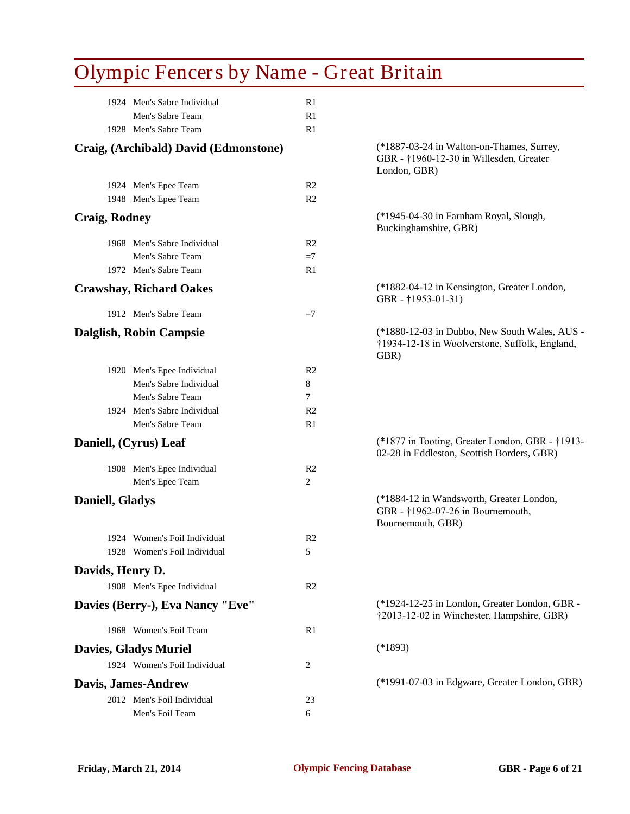| <b>Olympic Fencers by Name - Great Britain</b> |                |                                                                                                         |
|------------------------------------------------|----------------|---------------------------------------------------------------------------------------------------------|
| 1924 Men's Sabre Individual                    | R1             |                                                                                                         |
| Men's Sabre Team                               | R1             |                                                                                                         |
| 1928 Men's Sabre Team                          | R1             |                                                                                                         |
| Craig, (Archibald) David (Edmonstone)          |                | (*1887-03-24 in Walton-on-Thames, Surrey,<br>GBR - †1960-12-30 in Willesden, Greater<br>London, GBR)    |
| 1924 Men's Epee Team                           | R <sub>2</sub> |                                                                                                         |
| 1948 Men's Epee Team                           | R <sub>2</sub> |                                                                                                         |
| <b>Craig, Rodney</b>                           |                | (*1945-04-30 in Farnham Royal, Slough,<br>Buckinghamshire, GBR)                                         |
| 1968 Men's Sabre Individual                    | R <sub>2</sub> |                                                                                                         |
| Men's Sabre Team                               | $=7$           |                                                                                                         |
| 1972 Men's Sabre Team                          | R1             |                                                                                                         |
| <b>Crawshay, Richard Oakes</b>                 |                | (*1882-04-12 in Kensington, Greater London,<br>GBR - †1953-01-31)                                       |
| 1912 Men's Sabre Team                          | $=7$           |                                                                                                         |
| <b>Dalglish, Robin Campsie</b>                 |                | (*1880-12-03 in Dubbo, New South Wales, AUS -<br>†1934-12-18 in Woolverstone, Suffolk, England,<br>GBR) |
| 1920 Men's Epee Individual                     | R <sub>2</sub> |                                                                                                         |
| Men's Sabre Individual                         | 8              |                                                                                                         |
| Men's Sabre Team                               | 7              |                                                                                                         |
| 1924 Men's Sabre Individual                    | R <sub>2</sub> |                                                                                                         |
| Men's Sabre Team                               | R1             |                                                                                                         |
| Daniell, (Cyrus) Leaf                          |                | (*1877 in Tooting, Greater London, GBR - †1913-<br>02-28 in Eddleston, Scottish Borders, GBR)           |
| 1908 Men's Epee Individual                     | R <sub>2</sub> |                                                                                                         |
| Men's Epee Team                                | 2              |                                                                                                         |
| <b>Daniell, Gladys</b>                         |                | (*1884-12 in Wandsworth, Greater London,<br>GBR - †1962-07-26 in Bournemouth,<br>Bournemouth, GBR)      |
| 1924 Women's Foil Individual                   | R <sub>2</sub> |                                                                                                         |
| 1928 Women's Foil Individual                   | 5              |                                                                                                         |
| Davids, Henry D.                               |                |                                                                                                         |
| 1908 Men's Epee Individual                     | R <sub>2</sub> |                                                                                                         |
| Davies (Berry-), Eva Nancy "Eve"               |                | (*1924-12-25 in London, Greater London, GBR -<br>†2013-12-02 in Winchester, Hampshire, GBR)             |
| 1968 Women's Foil Team                         | R1             |                                                                                                         |
| <b>Davies, Gladys Muriel</b>                   |                | $(*1893)$                                                                                               |
| 1924 Women's Foil Individual                   | 2              |                                                                                                         |
|                                                |                | (*1991-07-03 in Edgware, Greater London, GBR)                                                           |
| Davis, James-Andrew                            |                |                                                                                                         |
| 2012 Men's Foil Individual<br>Men's Foil Team  | 23<br>6        |                                                                                                         |
|                                                |                |                                                                                                         |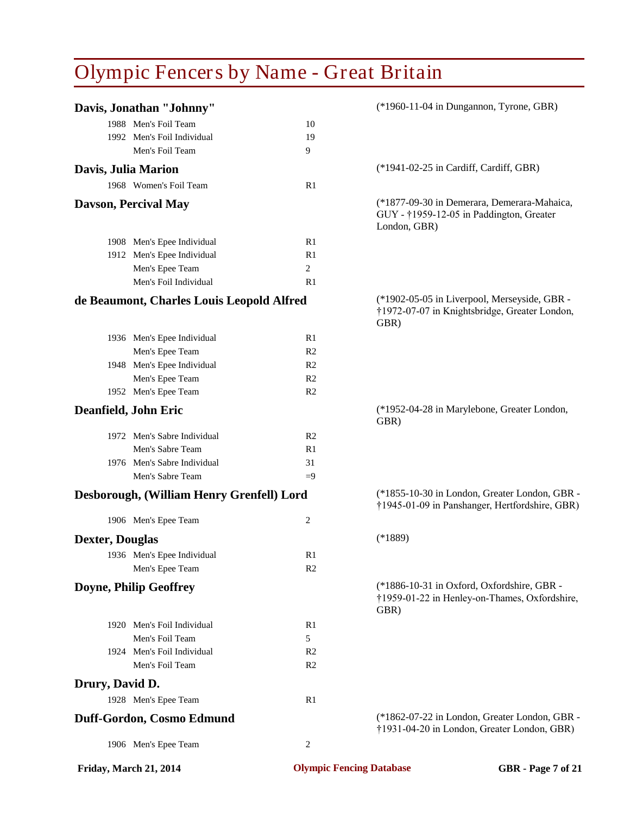|                        | Davis, Jonathan "Johnny"                  |                | (*1960-11-04 in Dungannon, Tyrone, GBR)                                                                 |
|------------------------|-------------------------------------------|----------------|---------------------------------------------------------------------------------------------------------|
|                        | 1988 Men's Foil Team                      | 10             |                                                                                                         |
|                        | 1992 Men's Foil Individual                | 19             |                                                                                                         |
|                        | Men's Foil Team                           | 9              |                                                                                                         |
| Davis, Julia Marion    |                                           |                | (*1941-02-25 in Cardiff, Cardiff, GBR)                                                                  |
|                        | 1968 Women's Foil Team                    | R1             |                                                                                                         |
|                        | Davson, Percival May                      |                | (*1877-09-30 in Demerara, Demerara-Mahaica,<br>GUY - †1959-12-05 in Paddington, Greater<br>London, GBR) |
|                        | 1908 Men's Epee Individual                | R1             |                                                                                                         |
|                        | 1912 Men's Epee Individual                | R1             |                                                                                                         |
|                        | Men's Epee Team                           | 2              |                                                                                                         |
|                        | Men's Foil Individual                     | R1             |                                                                                                         |
|                        | de Beaumont, Charles Louis Leopold Alfred |                | (*1902-05-05 in Liverpool, Merseyside, GBR -<br>†1972-07-07 in Knightsbridge, Greater London,<br>GBR)   |
|                        | 1936 Men's Epee Individual                | R1             |                                                                                                         |
|                        | Men's Epee Team                           | R <sub>2</sub> |                                                                                                         |
|                        | 1948 Men's Epee Individual                | R <sub>2</sub> |                                                                                                         |
|                        | Men's Epee Team                           | R <sub>2</sub> |                                                                                                         |
|                        | 1952 Men's Epee Team                      | R <sub>2</sub> |                                                                                                         |
| Deanfield, John Eric   |                                           |                | (*1952-04-28 in Marylebone, Greater London,<br>GBR)                                                     |
|                        | 1972 Men's Sabre Individual               | R <sub>2</sub> |                                                                                                         |
|                        | Men's Sabre Team                          | R1             |                                                                                                         |
|                        | 1976 Men's Sabre Individual               | 31             |                                                                                                         |
|                        | Men's Sabre Team                          | $=9$           |                                                                                                         |
|                        | Desborough, (William Henry Grenfell) Lord |                | (*1855-10-30 in London, Greater London, GBR -<br>†1945-01-09 in Panshanger, Hertfordshire, GBR)         |
|                        | 1906 Men's Epee Team                      | $\overline{2}$ |                                                                                                         |
| <b>Dexter, Douglas</b> |                                           |                | $(*1889)$                                                                                               |
|                        | 1936 Men's Epee Individual                | R <sub>1</sub> |                                                                                                         |
|                        | Men's Epee Team                           | R <sub>2</sub> |                                                                                                         |
|                        | Doyne, Philip Geoffrey                    |                | (*1886-10-31 in Oxford, Oxfordshire, GBR -<br>†1959-01-22 in Henley-on-Thames, Oxfordshire,<br>GBR)     |
|                        | 1920 Men's Foil Individual                | R1             |                                                                                                         |
|                        | Men's Foil Team                           | 5              |                                                                                                         |
|                        | 1924 Men's Foil Individual                | R <sub>2</sub> |                                                                                                         |
|                        | Men's Foil Team                           | R <sub>2</sub> |                                                                                                         |
| Drury, David D.        |                                           |                |                                                                                                         |
|                        | 1928 Men's Epee Team                      | R1             |                                                                                                         |
|                        | Duff-Gordon, Cosmo Edmund                 |                | (*1862-07-22 in London, Greater London, GBR -<br>†1931-04-20 in London, Greater London, GBR)            |
|                        | 1906 Men's Epee Team                      | $\overline{c}$ |                                                                                                         |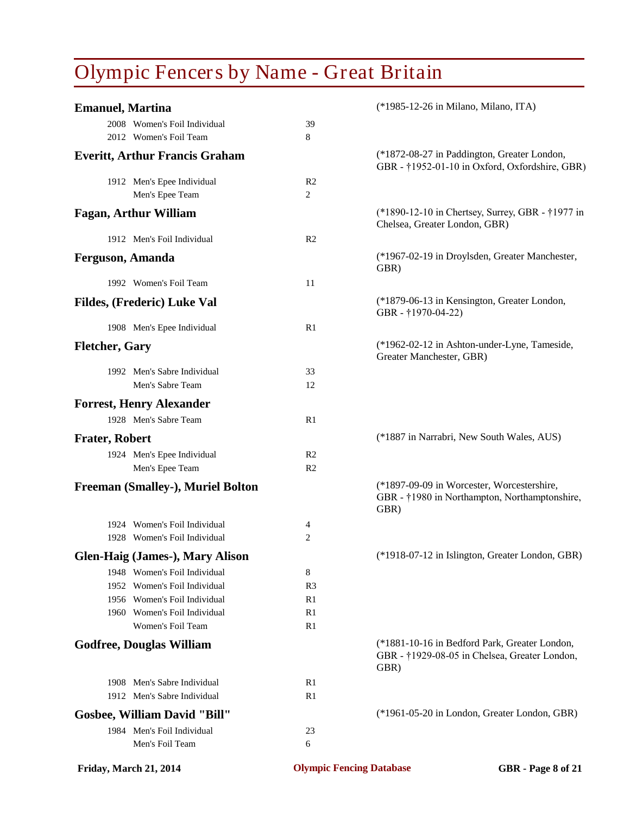| <b>Emanuel, Martina</b>                |                | (*1985-12-26 in Milano, Milano, ITA)                                                                   |
|----------------------------------------|----------------|--------------------------------------------------------------------------------------------------------|
| 2008 Women's Foil Individual           | 39             |                                                                                                        |
| 2012 Women's Foil Team                 | 8              |                                                                                                        |
| <b>Everitt, Arthur Francis Graham</b>  |                | (*1872-08-27 in Paddington, Greater London,<br>GBR - †1952-01-10 in Oxford, Oxfordshire, GBR)          |
| 1912 Men's Epee Individual             | R2             |                                                                                                        |
| Men's Epee Team                        | 2              |                                                                                                        |
| <b>Fagan, Arthur William</b>           |                | (*1890-12-10 in Chertsey, Surrey, GBR - †1977 in<br>Chelsea, Greater London, GBR)                      |
| 1912 Men's Foil Individual             | R <sub>2</sub> |                                                                                                        |
| <b>Ferguson, Amanda</b>                |                | (*1967-02-19 in Droylsden, Greater Manchester,<br>GBR)                                                 |
| 1992 Women's Foil Team                 | 11             |                                                                                                        |
| Fildes, (Frederic) Luke Val            |                | (*1879-06-13 in Kensington, Greater London,<br>GBR-†1970-04-22)                                        |
| 1908 Men's Epee Individual             | R <sub>1</sub> |                                                                                                        |
| <b>Fletcher, Gary</b>                  |                | (*1962-02-12 in Ashton-under-Lyne, Tameside,<br>Greater Manchester, GBR)                               |
| 1992 Men's Sabre Individual            | 33             |                                                                                                        |
| Men's Sabre Team                       | 12             |                                                                                                        |
| <b>Forrest, Henry Alexander</b>        |                |                                                                                                        |
| 1928 Men's Sabre Team                  | R1             |                                                                                                        |
| <b>Frater, Robert</b>                  |                | (*1887 in Narrabri, New South Wales, AUS)                                                              |
| 1924 Men's Epee Individual             | R <sub>2</sub> |                                                                                                        |
| Men's Epee Team                        | R <sub>2</sub> |                                                                                                        |
| Freeman (Smalley-), Muriel Bolton      |                | (*1897-09-09 in Worcester, Worcestershire,<br>GBR - †1980 in Northampton, Northamptonshire,<br>GBR)    |
| 1924 Women's Foil Individual           | 4              |                                                                                                        |
| 1928 Women's Foil Individual           | 2              |                                                                                                        |
| <b>Glen-Haig (James-), Mary Alison</b> |                | (*1918-07-12 in Islington, Greater London, GBR)                                                        |
| 1948 Women's Foil Individual           | 8              |                                                                                                        |
| 1952 Women's Foil Individual           | R <sub>3</sub> |                                                                                                        |
| 1956 Women's Foil Individual           | R1             |                                                                                                        |
| 1960 Women's Foil Individual           | R1             |                                                                                                        |
| Women's Foil Team                      | R1             |                                                                                                        |
| <b>Godfree, Douglas William</b>        |                | (*1881-10-16 in Bedford Park, Greater London,<br>GBR - †1929-08-05 in Chelsea, Greater London,<br>GBR) |
| 1908 Men's Sabre Individual            | R1             |                                                                                                        |
| 1912 Men's Sabre Individual            | R1             |                                                                                                        |
| <b>Gosbee, William David "Bill"</b>    |                | (*1961-05-20 in London, Greater London, GBR)                                                           |
| 1984 Men's Foil Individual             | 23             |                                                                                                        |
| Men's Foil Team                        | 6              |                                                                                                        |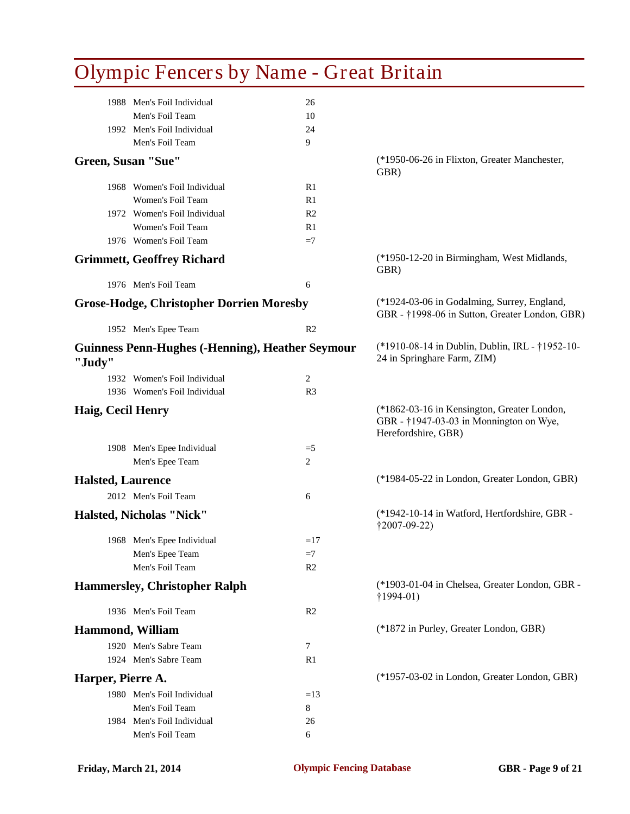|                          | Olympic Fencers by Name - Great Britain                 |                |                                                                                                               |
|--------------------------|---------------------------------------------------------|----------------|---------------------------------------------------------------------------------------------------------------|
|                          | 1988 Men's Foil Individual                              | 26             |                                                                                                               |
|                          | Men's Foil Team                                         | 10             |                                                                                                               |
|                          | 1992 Men's Foil Individual                              | 24             |                                                                                                               |
|                          | Men's Foil Team                                         | 9              |                                                                                                               |
|                          | Green, Susan "Sue"                                      |                | (*1950-06-26 in Flixton, Greater Manchester,<br>GBR)                                                          |
|                          | 1968 Women's Foil Individual                            | R1             |                                                                                                               |
|                          | Women's Foil Team                                       | R1             |                                                                                                               |
|                          | 1972 Women's Foil Individual                            | R <sub>2</sub> |                                                                                                               |
|                          | Women's Foil Team                                       | R1             |                                                                                                               |
|                          | 1976 Women's Foil Team                                  | $=7$           |                                                                                                               |
|                          | <b>Grimmett, Geoffrey Richard</b>                       |                | (*1950-12-20 in Birmingham, West Midlands,<br>GBR)                                                            |
|                          | 1976 Men's Foil Team                                    | 6              |                                                                                                               |
|                          | <b>Grose-Hodge, Christopher Dorrien Moresby</b>         |                | (*1924-03-06 in Godalming, Surrey, England,<br>GBR - †1998-06 in Sutton, Greater London, GBR)                 |
|                          | 1952 Men's Epee Team                                    | R <sub>2</sub> |                                                                                                               |
| "Judy"                   | <b>Guinness Penn-Hughes (-Henning), Heather Seymour</b> |                | (*1910-08-14 in Dublin, Dublin, IRL - †1952-10-<br>24 in Springhare Farm, ZIM)                                |
|                          | 1932 Women's Foil Individual                            | 2              |                                                                                                               |
|                          | 1936 Women's Foil Individual                            | R <sub>3</sub> |                                                                                                               |
| Haig, Cecil Henry        |                                                         |                | (*1862-03-16 in Kensington, Greater London,<br>GBR - †1947-03-03 in Monnington on Wye,<br>Herefordshire, GBR) |
|                          | 1908 Men's Epee Individual                              | $=$ 5          |                                                                                                               |
|                          | Men's Epee Team                                         | 2              |                                                                                                               |
| <b>Halsted, Laurence</b> |                                                         |                | (*1984-05-22 in London, Greater London, GBR)                                                                  |
|                          | 2012 Men's Foil Team                                    | 6              |                                                                                                               |
|                          | <b>Halsted, Nicholas "Nick"</b>                         |                | (*1942-10-14 in Watford, Hertfordshire, GBR -<br>$\ddagger$ 2007-09-22)                                       |
|                          | 1968 Men's Epee Individual                              | $=17$          |                                                                                                               |
|                          | Men's Epee Team                                         | $=7$           |                                                                                                               |
|                          | Men's Foil Team                                         | R <sub>2</sub> |                                                                                                               |
|                          | <b>Hammersley, Christopher Ralph</b>                    |                | (*1903-01-04 in Chelsea, Greater London, GBR -<br>$\uparrow$ 1994-01)                                         |
|                          | 1936 Men's Foil Team                                    | R <sub>2</sub> |                                                                                                               |
|                          | <b>Hammond, William</b>                                 |                | (*1872 in Purley, Greater London, GBR)                                                                        |
|                          | 1920 Men's Sabre Team                                   | $\tau$         |                                                                                                               |
|                          | 1924 Men's Sabre Team                                   | R1             |                                                                                                               |
|                          |                                                         |                |                                                                                                               |
| Harper, Pierre A.        |                                                         |                | (*1957-03-02 in London, Greater London, GBR)                                                                  |
|                          | 1980 Men's Foil Individual                              | $=13$          |                                                                                                               |
|                          | Men's Foil Team                                         | 8              |                                                                                                               |
|                          | 1984 Men's Foil Individual                              | 26             |                                                                                                               |
|                          | Men's Foil Team                                         | 6              |                                                                                                               |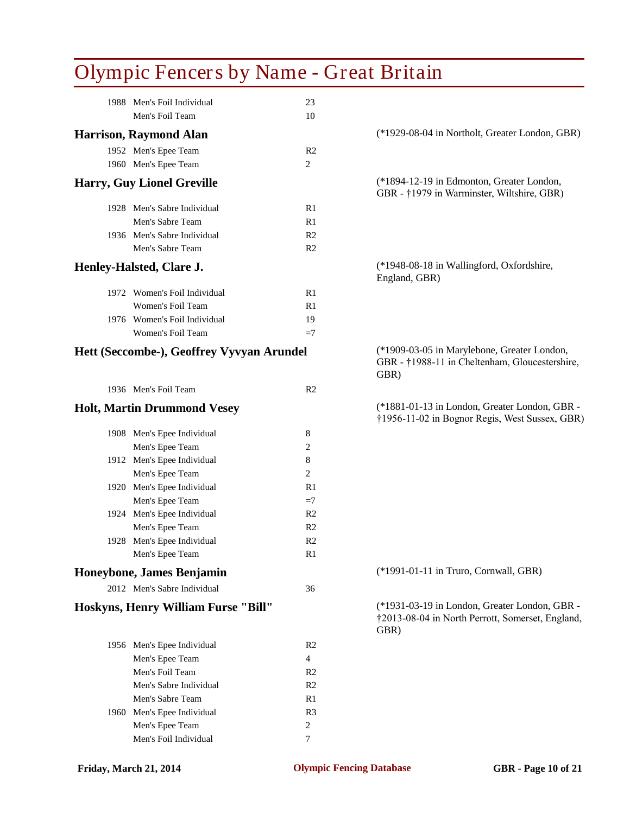| <b>Olympic Fencers by Name - Great Britain</b> |                |                                                                                                           |
|------------------------------------------------|----------------|-----------------------------------------------------------------------------------------------------------|
| 1988 Men's Foil Individual                     | 23             |                                                                                                           |
| Men's Foil Team                                | 10             |                                                                                                           |
| <b>Harrison, Raymond Alan</b>                  |                | (*1929-08-04 in Northolt, Greater London, GBR)                                                            |
| 1952 Men's Epee Team                           | R <sub>2</sub> |                                                                                                           |
| 1960 Men's Epee Team                           | 2              |                                                                                                           |
| <b>Harry, Guy Lionel Greville</b>              |                | (*1894-12-19 in Edmonton, Greater London,<br>GBR - †1979 in Warminster, Wiltshire, GBR)                   |
| 1928 Men's Sabre Individual                    | R <sub>1</sub> |                                                                                                           |
| Men's Sabre Team                               | R1             |                                                                                                           |
| 1936 Men's Sabre Individual                    | R <sub>2</sub> |                                                                                                           |
| Men's Sabre Team                               | R <sub>2</sub> |                                                                                                           |
| Henley-Halsted, Clare J.                       |                | (*1948-08-18 in Wallingford, Oxfordshire,<br>England, GBR)                                                |
| 1972 Women's Foil Individual                   | R <sub>1</sub> |                                                                                                           |
| Women's Foil Team                              | R1             |                                                                                                           |
| 1976 Women's Foil Individual                   | 19             |                                                                                                           |
| Women's Foil Team                              | $=7$           |                                                                                                           |
| Hett (Seccombe-), Geoffrey Vyvyan Arundel      |                | (*1909-03-05 in Marylebone, Greater London,<br>GBR - †1988-11 in Cheltenham, Gloucestershire,<br>GBR)     |
| 1936 Men's Foil Team                           | R <sub>2</sub> |                                                                                                           |
| <b>Holt, Martin Drummond Vesey</b>             |                | (*1881-01-13 in London, Greater London, GBR -<br>†1956-11-02 in Bognor Regis, West Sussex, GBR)           |
| 1908 Men's Epee Individual                     | 8              |                                                                                                           |
| Men's Epee Team                                | 2              |                                                                                                           |
| 1912 Men's Epee Individual                     | 8              |                                                                                                           |
| Men's Epee Team                                | 2              |                                                                                                           |
| 1920 Men's Epee Individual                     | R1             |                                                                                                           |
| Men's Epee Team                                | $=7$           |                                                                                                           |
| 1924 Men's Epee Individual                     | R <sub>2</sub> |                                                                                                           |
| Men's Epee Team                                | R <sub>2</sub> |                                                                                                           |
| 1928 Men's Epee Individual                     | R <sub>2</sub> |                                                                                                           |
| Men's Epee Team                                | R1             |                                                                                                           |
| Honeybone, James Benjamin                      |                | (*1991-01-11 in Truro, Cornwall, GBR)                                                                     |
| 2012 Men's Sabre Individual                    | 36             |                                                                                                           |
| Hoskyns, Henry William Furse "Bill"            |                | (*1931-03-19 in London, Greater London, GBR -<br>†2013-08-04 in North Perrott, Somerset, England,<br>GBR) |
| 1956 Men's Epee Individual                     | R <sub>2</sub> |                                                                                                           |
| Men's Epee Team                                | 4              |                                                                                                           |
| Men's Foil Team                                | R <sub>2</sub> |                                                                                                           |
| Men's Sabre Individual                         | R <sub>2</sub> |                                                                                                           |
| Men's Sabre Team                               | R1             |                                                                                                           |
| 1960 Men's Epee Individual                     | R <sub>3</sub> |                                                                                                           |
| Men's Epee Team                                | 2              |                                                                                                           |
| Men's Foil Individual                          | 7              |                                                                                                           |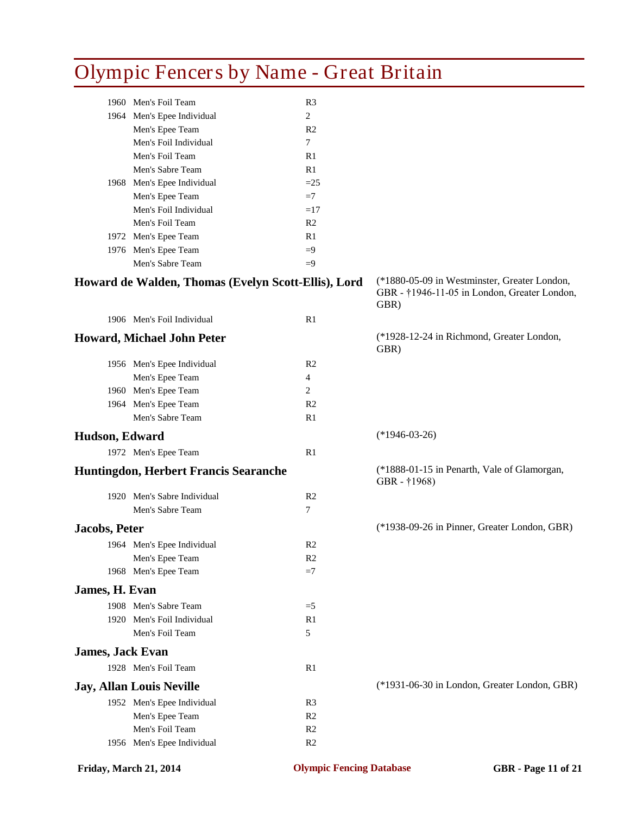|                         | <b>Olympic Fencers by Name - Great Britain</b>      |                |                                                                                                      |  |
|-------------------------|-----------------------------------------------------|----------------|------------------------------------------------------------------------------------------------------|--|
|                         | 1960 Men's Foil Team                                | R <sub>3</sub> |                                                                                                      |  |
|                         | 1964 Men's Epee Individual                          | 2              |                                                                                                      |  |
|                         | Men's Epee Team                                     | R <sub>2</sub> |                                                                                                      |  |
|                         | Men's Foil Individual                               | $\tau$         |                                                                                                      |  |
|                         | Men's Foil Team                                     | R1             |                                                                                                      |  |
|                         | Men's Sabre Team                                    | R1             |                                                                                                      |  |
|                         | 1968 Men's Epee Individual                          | $=25$          |                                                                                                      |  |
|                         | Men's Epee Team                                     | $=7$           |                                                                                                      |  |
|                         | Men's Foil Individual                               | $=17$          |                                                                                                      |  |
|                         | Men's Foil Team                                     | R <sub>2</sub> |                                                                                                      |  |
|                         | 1972 Men's Epee Team                                | R1             |                                                                                                      |  |
|                         | 1976 Men's Epee Team                                | $=9$           |                                                                                                      |  |
|                         | Men's Sabre Team                                    | $=9$           |                                                                                                      |  |
|                         | Howard de Walden, Thomas (Evelyn Scott-Ellis), Lord |                | (*1880-05-09 in Westminster, Greater London,<br>GBR - †1946-11-05 in London, Greater London,<br>GBR) |  |
|                         | 1906 Men's Foil Individual                          | R1             |                                                                                                      |  |
|                         | <b>Howard, Michael John Peter</b>                   |                | (*1928-12-24 in Richmond, Greater London,<br>GBR)                                                    |  |
|                         | 1956 Men's Epee Individual                          | R <sub>2</sub> |                                                                                                      |  |
|                         | Men's Epee Team                                     | 4              |                                                                                                      |  |
|                         | 1960 Men's Epee Team                                | 2              |                                                                                                      |  |
|                         | 1964 Men's Epee Team                                | R <sub>2</sub> |                                                                                                      |  |
|                         | Men's Sabre Team                                    | R <sub>1</sub> |                                                                                                      |  |
| Hudson, Edward          |                                                     |                | $(*1946-03-26)$                                                                                      |  |
|                         | 1972 Men's Epee Team                                | R1             |                                                                                                      |  |
|                         | Huntingdon, Herbert Francis Searanche               |                | (*1888-01-15 in Penarth, Vale of Glamorgan,<br>GBR - †1968)                                          |  |
|                         | 1920 Men's Sabre Individual                         | R <sub>2</sub> |                                                                                                      |  |
|                         | Men's Sabre Team                                    | 7              |                                                                                                      |  |
|                         |                                                     |                |                                                                                                      |  |
| <b>Jacobs, Peter</b>    |                                                     |                | (*1938-09-26 in Pinner, Greater London, GBR)                                                         |  |
|                         | 1964 Men's Epee Individual                          | R2             |                                                                                                      |  |
|                         | Men's Epee Team                                     | R <sub>2</sub> |                                                                                                      |  |
|                         | 1968 Men's Epee Team                                | $=7$           |                                                                                                      |  |
| James, H. Evan          |                                                     |                |                                                                                                      |  |
|                         | 1908 Men's Sabre Team                               | $=$ 5          |                                                                                                      |  |
|                         | 1920 Men's Foil Individual                          | R1             |                                                                                                      |  |
|                         | Men's Foil Team                                     | 5              |                                                                                                      |  |
| <b>James, Jack Evan</b> |                                                     |                |                                                                                                      |  |
|                         | 1928 Men's Foil Team                                | R <sub>1</sub> |                                                                                                      |  |
|                         | <b>Jay, Allan Louis Neville</b>                     |                | (*1931-06-30 in London, Greater London, GBR)                                                         |  |
|                         | 1952 Men's Epee Individual                          | R <sub>3</sub> |                                                                                                      |  |
|                         | Men's Epee Team                                     | R <sub>2</sub> |                                                                                                      |  |
|                         | Men's Foil Team                                     | R <sub>2</sub> |                                                                                                      |  |
|                         | 1956 Men's Epee Individual                          | R <sub>2</sub> |                                                                                                      |  |
|                         |                                                     |                |                                                                                                      |  |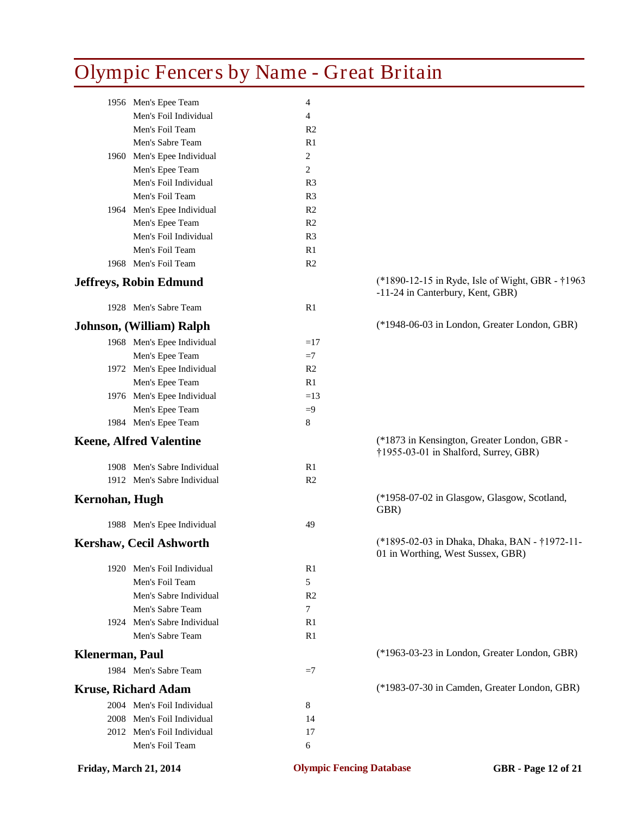| 1956 Men's Epee Team<br>4<br>Men's Foil Individual<br>4<br>Men's Foil Team<br>R <sub>2</sub><br>Men's Sabre Team<br>R1 |  |
|------------------------------------------------------------------------------------------------------------------------|--|
|                                                                                                                        |  |
|                                                                                                                        |  |
|                                                                                                                        |  |
|                                                                                                                        |  |
| 2<br>1960 Men's Epee Individual                                                                                        |  |
| 2<br>Men's Epee Team                                                                                                   |  |
| Men's Foil Individual<br>R <sub>3</sub>                                                                                |  |
| Men's Foil Team<br>R <sub>3</sub>                                                                                      |  |
| 1964 Men's Epee Individual<br>R <sub>2</sub>                                                                           |  |
| Men's Epee Team<br>R <sub>2</sub>                                                                                      |  |
| Men's Foil Individual<br>R <sub>3</sub>                                                                                |  |
| Men's Foil Team<br>R1                                                                                                  |  |
| 1968 Men's Foil Team<br>R <sub>2</sub>                                                                                 |  |
| (*1890-12-15 in Ryde, Isle of Wight, GBR - †1963<br><b>Jeffreys, Robin Edmund</b><br>-11-24 in Canterbury, Kent, GBR)  |  |
| 1928 Men's Sabre Team<br>R1                                                                                            |  |
| (*1948-06-03 in London, Greater London, GBR)<br>Johnson, (William) Ralph                                               |  |
| 1968 Men's Epee Individual<br>$=17$                                                                                    |  |
| Men's Epee Team<br>$=7$                                                                                                |  |
| 1972 Men's Epee Individual<br>R <sub>2</sub>                                                                           |  |
| Men's Epee Team<br>R1                                                                                                  |  |
| 1976 Men's Epee Individual<br>$=13$                                                                                    |  |
| Men's Epee Team<br>$=9$                                                                                                |  |
| 1984 Men's Epee Team<br>8                                                                                              |  |
| (*1873 in Kensington, Greater London, GBR -<br><b>Keene, Alfred Valentine</b><br>†1955-03-01 in Shalford, Surrey, GBR) |  |
| 1908 Men's Sabre Individual<br>R1                                                                                      |  |
| 1912 Men's Sabre Individual<br>R <sub>2</sub>                                                                          |  |
| (*1958-07-02 in Glasgow, Glasgow, Scotland,<br>Kernohan, Hugh<br>GBR)                                                  |  |
| 1988 Men's Epee Individual<br>49                                                                                       |  |
| (*1895-02-03 in Dhaka, Dhaka, BAN - †1972-11-<br>Kershaw, Cecil Ashworth<br>01 in Worthing, West Sussex, GBR)          |  |
| 1920 Men's Foil Individual<br>R1                                                                                       |  |
| Men's Foil Team<br>5                                                                                                   |  |
| Men's Sabre Individual<br>R <sub>2</sub>                                                                               |  |
| Men's Sabre Team<br>7                                                                                                  |  |
| 1924 Men's Sabre Individual<br>R <sub>1</sub>                                                                          |  |
| Men's Sabre Team<br>R1                                                                                                 |  |
| (*1963-03-23 in London, Greater London, GBR)<br><b>Klenerman</b> , Paul                                                |  |
| 1984 Men's Sabre Team<br>$=7$                                                                                          |  |
| (*1983-07-30 in Camden, Greater London, GBR)<br><b>Kruse, Richard Adam</b>                                             |  |
| 2004 Men's Foil Individual<br>8                                                                                        |  |
| 2008 Men's Foil Individual<br>14                                                                                       |  |
| 2012 Men's Foil Individual<br>17                                                                                       |  |
| Men's Foil Team<br>6                                                                                                   |  |

**Friday, March 21, 2014 Olympic Fencing Database GBR - Page 12 of 21**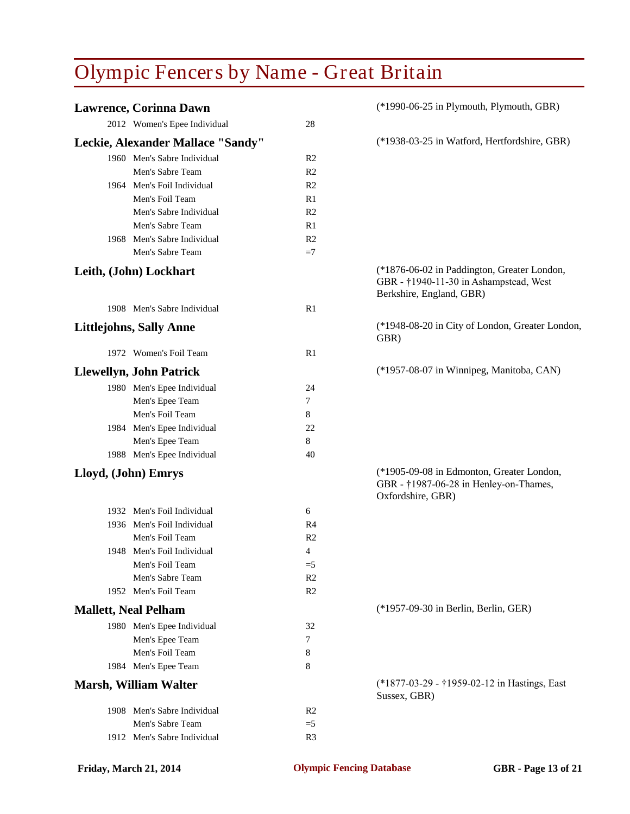| <b>Lawrence, Corinna Dawn</b>     |                | (*1990-06-25 in Plymouth, Plymouth, GBR)                                                                          |
|-----------------------------------|----------------|-------------------------------------------------------------------------------------------------------------------|
| 2012 Women's Epee Individual      | 28             |                                                                                                                   |
| Leckie, Alexander Mallace "Sandy" |                | (*1938-03-25 in Watford, Hertfordshire, GBR)                                                                      |
| 1960 Men's Sabre Individual       | R <sub>2</sub> |                                                                                                                   |
| Men's Sabre Team                  | R <sub>2</sub> |                                                                                                                   |
| 1964 Men's Foil Individual        | R <sub>2</sub> |                                                                                                                   |
| Men's Foil Team                   | R1             |                                                                                                                   |
| Men's Sabre Individual            | R <sub>2</sub> |                                                                                                                   |
| Men's Sabre Team                  | R1             |                                                                                                                   |
| 1968 Men's Sabre Individual       | R <sub>2</sub> |                                                                                                                   |
| Men's Sabre Team                  | $=7$           |                                                                                                                   |
| Leith, (John) Lockhart            |                | (*1876-06-02 in Paddington, Greater London,<br>GBR - †1940-11-30 in Ashampstead, West<br>Berkshire, England, GBR) |
| 1908 Men's Sabre Individual       | R1             |                                                                                                                   |
| <b>Littlejohns, Sally Anne</b>    |                | (*1948-08-20 in City of London, Greater London,<br>GBR)                                                           |
| 1972 Women's Foil Team            | R <sub>1</sub> |                                                                                                                   |
| <b>Llewellyn, John Patrick</b>    |                | (*1957-08-07 in Winnipeg, Manitoba, CAN)                                                                          |
| 1980 Men's Epee Individual        | 24             |                                                                                                                   |
| Men's Epee Team                   | 7              |                                                                                                                   |
| Men's Foil Team                   | 8              |                                                                                                                   |
| 1984 Men's Epee Individual        | 22             |                                                                                                                   |
| Men's Epee Team                   | 8              |                                                                                                                   |
| 1988 Men's Epee Individual        | 40             |                                                                                                                   |
| Lloyd, (John) Emrys               |                | (*1905-09-08 in Edmonton, Greater London,<br>GBR - †1987-06-28 in Henley-on-Thames,<br>Oxfordshire, GBR)          |
| 1932 Men's Foil Individual        | 6              |                                                                                                                   |
| 1936 Men's Foil Individual        | R4             |                                                                                                                   |
| Men's Foil Team                   | R <sub>2</sub> |                                                                                                                   |
| 1948 Men's Foil Individual        | 4              |                                                                                                                   |
| Men's Foil Team                   | $=$ 5          |                                                                                                                   |
| Men's Sabre Team                  | R <sub>2</sub> |                                                                                                                   |
| 1952 Men's Foil Team              | R <sub>2</sub> |                                                                                                                   |
| <b>Mallett, Neal Pelham</b>       |                | (*1957-09-30 in Berlin, Berlin, GER)                                                                              |
| 1980 Men's Epee Individual        | 32             |                                                                                                                   |
| Men's Epee Team                   | 7              |                                                                                                                   |
| Men's Foil Team                   | 8              |                                                                                                                   |
| 1984 Men's Epee Team              | 8              |                                                                                                                   |
| <b>Marsh, William Walter</b>      |                | (*1877-03-29 - †1959-02-12 in Hastings, East<br>Sussex, GBR)                                                      |
| 1908 Men's Sabre Individual       | R2             |                                                                                                                   |
| Men's Sabre Team                  | $=5$           |                                                                                                                   |
| 1912 Men's Sabre Individual       | R <sub>3</sub> |                                                                                                                   |
|                                   |                |                                                                                                                   |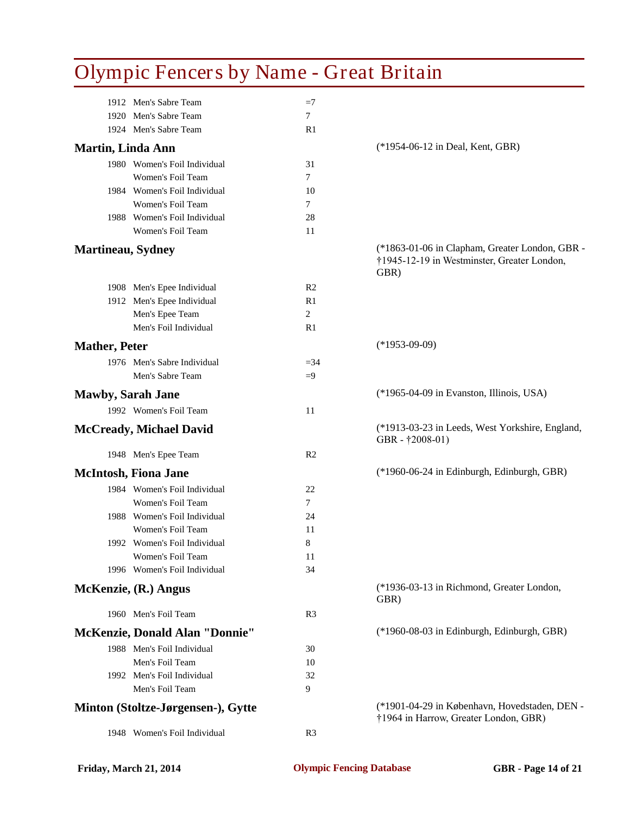| Olympic I chect's by Ivanic - Great Dritain |                |                                                                                                       |
|---------------------------------------------|----------------|-------------------------------------------------------------------------------------------------------|
| 1912 Men's Sabre Team                       | $=7$           |                                                                                                       |
| 1920 Men's Sabre Team                       | $\tau$         |                                                                                                       |
| 1924 Men's Sabre Team                       | R1             |                                                                                                       |
| <b>Martin, Linda Ann</b>                    |                | (*1954-06-12 in Deal, Kent, GBR)                                                                      |
| 1980 Women's Foil Individual                | 31             |                                                                                                       |
| Women's Foil Team                           | $\tau$         |                                                                                                       |
| 1984 Women's Foil Individual                | 10             |                                                                                                       |
| Women's Foil Team                           | $\tau$         |                                                                                                       |
| 1988 Women's Foil Individual                | 28             |                                                                                                       |
| Women's Foil Team                           | 11             |                                                                                                       |
| Martineau, Sydney                           |                | (*1863-01-06 in Clapham, Greater London, GBR -<br>†1945-12-19 in Westminster, Greater London,<br>GBR) |
| 1908 Men's Epee Individual                  | R <sub>2</sub> |                                                                                                       |
| 1912 Men's Epee Individual                  | R1             |                                                                                                       |
| Men's Epee Team                             | 2              |                                                                                                       |
| Men's Foil Individual                       | R1             |                                                                                                       |
| <b>Mather, Peter</b>                        |                | $(*1953-09-09)$                                                                                       |
| 1976 Men's Sabre Individual                 | $= 34$         |                                                                                                       |
| Men's Sabre Team                            | $=9$           |                                                                                                       |
| <b>Mawby, Sarah Jane</b>                    |                | (*1965-04-09 in Evanston, Illinois, USA)                                                              |
| 1992 Women's Foil Team                      | 11             |                                                                                                       |
| <b>McCready, Michael David</b>              |                | (*1913-03-23 in Leeds, West Yorkshire, England,<br>GBR - †2008-01)                                    |
| 1948 Men's Epee Team                        | R <sub>2</sub> |                                                                                                       |
| <b>McIntosh, Fiona Jane</b>                 |                | (*1960-06-24 in Edinburgh, Edinburgh, GBR)                                                            |
| 1984 Women's Foil Individual                | 22             |                                                                                                       |
| Women's Foil Team                           | $\tau$         |                                                                                                       |
| 1988 Women's Foil Individual                | 24             |                                                                                                       |
| Women's Foil Team                           | 11             |                                                                                                       |
| 1992 Women's Foil Individual                | 8              |                                                                                                       |
| Women's Foil Team                           | 11             |                                                                                                       |
| 1996 Women's Foil Individual                | 34             |                                                                                                       |
| McKenzie, (R.) Angus                        |                | (*1936-03-13 in Richmond, Greater London,<br>GBR)                                                     |
| 1960 Men's Foil Team                        | R <sub>3</sub> |                                                                                                       |
| <b>McKenzie, Donald Alan "Donnie"</b>       |                | (*1960-08-03 in Edinburgh, Edinburgh, GBR)                                                            |
| 1988 Men's Foil Individual                  | 30             |                                                                                                       |
| Men's Foil Team                             | 10             |                                                                                                       |
| 1992 Men's Foil Individual                  | 32             |                                                                                                       |
| Men's Foil Team                             | 9              |                                                                                                       |
| Minton (Stoltze-Jørgensen-), Gytte          |                | (*1901-04-29 in København, Hovedstaden, DEN -<br>†1964 in Harrow, Greater London, GBR)                |
| 1948 Women's Foil Individual                | R3             |                                                                                                       |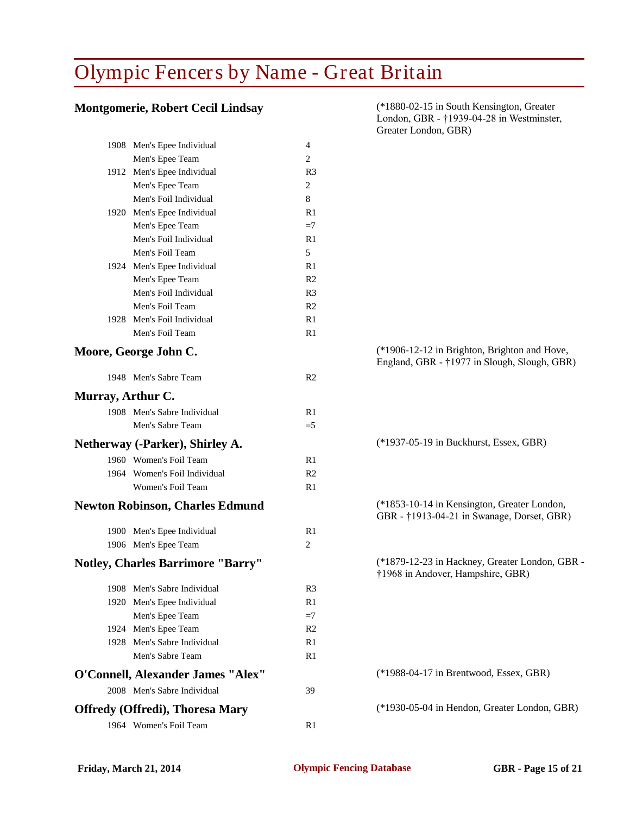#### **Montgomerie, Robert Cecil Lindsay** (\*1880-02-15 in South Kensington, Greater

|                                          |                | Greater London, GBR)                                                                         |
|------------------------------------------|----------------|----------------------------------------------------------------------------------------------|
| 1908 Men's Epee Individual               | 4              |                                                                                              |
| Men's Epee Team                          | 2              |                                                                                              |
| 1912 Men's Epee Individual               | R <sub>3</sub> |                                                                                              |
| Men's Epee Team                          | 2              |                                                                                              |
| Men's Foil Individual                    | 8              |                                                                                              |
| 1920 Men's Epee Individual               | R <sub>1</sub> |                                                                                              |
| Men's Epee Team                          | $=7$           |                                                                                              |
| Men's Foil Individual                    | R1             |                                                                                              |
| Men's Foil Team                          | 5              |                                                                                              |
| 1924 Men's Epee Individual               | R1             |                                                                                              |
| Men's Epee Team                          | R <sub>2</sub> |                                                                                              |
| Men's Foil Individual                    | R <sub>3</sub> |                                                                                              |
| Men's Foil Team                          | R <sub>2</sub> |                                                                                              |
| 1928 Men's Foil Individual               | R1             |                                                                                              |
| Men's Foil Team                          | R1             |                                                                                              |
| Moore, George John C.                    |                | (*1906-12-12 in Brighton, Brighton and Hove,<br>England, GBR - †1977 in Slough, Slough, GBR) |
| 1948 Men's Sabre Team                    | R <sub>2</sub> |                                                                                              |
| Murray, Arthur C.                        |                |                                                                                              |
| 1908 Men's Sabre Individual              | R1             |                                                                                              |
| Men's Sabre Team                         | $=5$           |                                                                                              |
| Netherway (-Parker), Shirley A.          |                | (*1937-05-19 in Buckhurst, Essex, GBR)                                                       |
| 1960 Women's Foil Team                   | R1             |                                                                                              |
| 1964 Women's Foil Individual             | R <sub>2</sub> |                                                                                              |
| Women's Foil Team                        | R1             |                                                                                              |
|                                          |                |                                                                                              |
| <b>Newton Robinson, Charles Edmund</b>   |                | (*1853-10-14 in Kensington, Greater London,<br>GBR - †1913-04-21 in Swanage, Dorset, GBR)    |
| 1900 Men's Epee Individual               | R1             |                                                                                              |
| 1906 Men's Epee Team                     | 2              |                                                                                              |
| <b>Notley, Charles Barrimore "Barry"</b> |                | (*1879-12-23 in Hackney, Greater London, GBR -<br>†1968 in Andover, Hampshire, GBR)          |
| 1908 Men's Sabre Individual              | R <sub>3</sub> |                                                                                              |
| 1920 Men's Epee Individual               | R1             |                                                                                              |
| Men's Epee Team                          | $=7$           |                                                                                              |
| 1924 Men's Epee Team                     | R <sub>2</sub> |                                                                                              |
| 1928 Men's Sabre Individual              | R <sub>1</sub> |                                                                                              |
| Men's Sabre Team                         | R <sub>1</sub> |                                                                                              |
| O'Connell, Alexander James "Alex"        |                | (*1988-04-17 in Brentwood, Essex, GBR)                                                       |
| 2008 Men's Sabre Individual              | 39             |                                                                                              |
| <b>Offredy (Offredi), Thoresa Mary</b>   |                | (*1930-05-04 in Hendon, Greater London, GBR)                                                 |
| 1964 Women's Foil Team                   | R <sub>1</sub> |                                                                                              |
|                                          |                |                                                                                              |

London, GBR - †1939-04-28 in Westminster, Greater London, GBR)

| (*1906-12-12 in Brighton, Brighton and Hove,<br>England, GBR - †1977 in Slough, Slough, GBR) |
|----------------------------------------------------------------------------------------------|
| (*1937-05-19 in Buckhurst, Essex, GBR)                                                       |
| (*1853-10-14 in Kensington, Greater London,<br>GBR - †1913-04-21 in Swanage, Dorset, GBR)    |
| (*1879-12-23 in Hackney, Greater London, GBR -<br>†1968 in Andover, Hampshire, GBR)          |
|                                                                                              |
| $(*1988-04-17$ in Brentwood, Essex, GBR)                                                     |
| (*1930-05-04 in Hendon, Greater London, GBR)                                                 |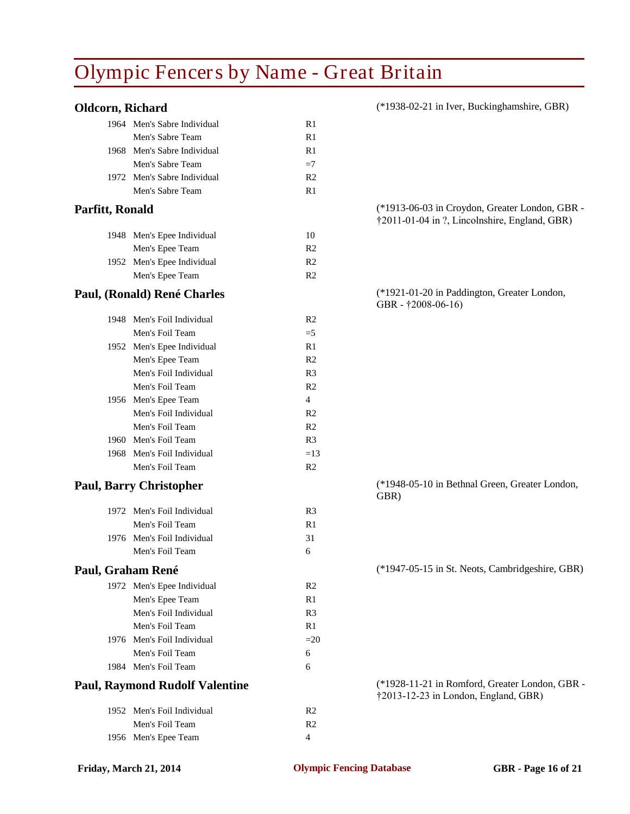| Oldcorn, Richard                      |                | (*1938-02-21 in Iver, Buckinghamshire, GBR)                                                     |
|---------------------------------------|----------------|-------------------------------------------------------------------------------------------------|
| 1964 Men's Sabre Individual           | R1             |                                                                                                 |
| Men's Sabre Team                      | R1             |                                                                                                 |
| 1968 Men's Sabre Individual           | R1             |                                                                                                 |
| Men's Sabre Team                      | $=7$           |                                                                                                 |
| 1972 Men's Sabre Individual           | R <sub>2</sub> |                                                                                                 |
| Men's Sabre Team                      | R1             |                                                                                                 |
| Parfitt, Ronald                       |                | (*1913-06-03 in Croydon, Greater London, GBR -<br>†2011-01-04 in ?, Lincolnshire, England, GBR) |
| 1948 Men's Epee Individual            | 10             |                                                                                                 |
| Men's Epee Team                       | R <sub>2</sub> |                                                                                                 |
| 1952 Men's Epee Individual            | R <sub>2</sub> |                                                                                                 |
| Men's Epee Team                       | R <sub>2</sub> |                                                                                                 |
| Paul, (Ronald) René Charles           |                | (*1921-01-20 in Paddington, Greater London,<br>GBR - †2008-06-16)                               |
| 1948 Men's Foil Individual            | R <sub>2</sub> |                                                                                                 |
| Men's Foil Team                       | $=5$           |                                                                                                 |
| 1952 Men's Epee Individual            | R1             |                                                                                                 |
| Men's Epee Team                       | R <sub>2</sub> |                                                                                                 |
| Men's Foil Individual                 | R <sub>3</sub> |                                                                                                 |
| Men's Foil Team                       | R <sub>2</sub> |                                                                                                 |
| 1956 Men's Epee Team                  | $\overline{4}$ |                                                                                                 |
| Men's Foil Individual                 | R <sub>2</sub> |                                                                                                 |
| Men's Foil Team                       | R <sub>2</sub> |                                                                                                 |
| 1960 Men's Foil Team                  | R <sub>3</sub> |                                                                                                 |
| 1968 Men's Foil Individual            | $=13$          |                                                                                                 |
| Men's Foil Team                       | R <sub>2</sub> |                                                                                                 |
| <b>Paul, Barry Christopher</b>        |                | (*1948-05-10 in Bethnal Green, Greater London,<br>GBR)                                          |
| 1972 Men's Foil Individual            | R <sub>3</sub> |                                                                                                 |
| Men's Foil Team                       | R1             |                                                                                                 |
| 1976 Men's Foil Individual            | 31             |                                                                                                 |
| Men's Foil Team                       | 6              |                                                                                                 |
| Paul, Graham René                     |                | (*1947-05-15 in St. Neots, Cambridgeshire, GBR)                                                 |
| 1972 Men's Epee Individual            | R <sub>2</sub> |                                                                                                 |
| Men's Epee Team                       | R1             |                                                                                                 |
| Men's Foil Individual                 | R <sub>3</sub> |                                                                                                 |
| Men's Foil Team                       | R1             |                                                                                                 |
| 1976 Men's Foil Individual            | $=20$          |                                                                                                 |
| Men's Foil Team                       | 6              |                                                                                                 |
| 1984 Men's Foil Team                  | 6              |                                                                                                 |
| <b>Paul, Raymond Rudolf Valentine</b> |                | (*1928-11-21 in Romford, Greater London, GBR -<br>†2013-12-23 in London, England, GBR)          |
| 1952 Men's Foil Individual            | R <sub>2</sub> |                                                                                                 |
| Men's Foil Team                       | R <sub>2</sub> |                                                                                                 |
| 1956 Men's Epee Team                  | $\overline{4}$ |                                                                                                 |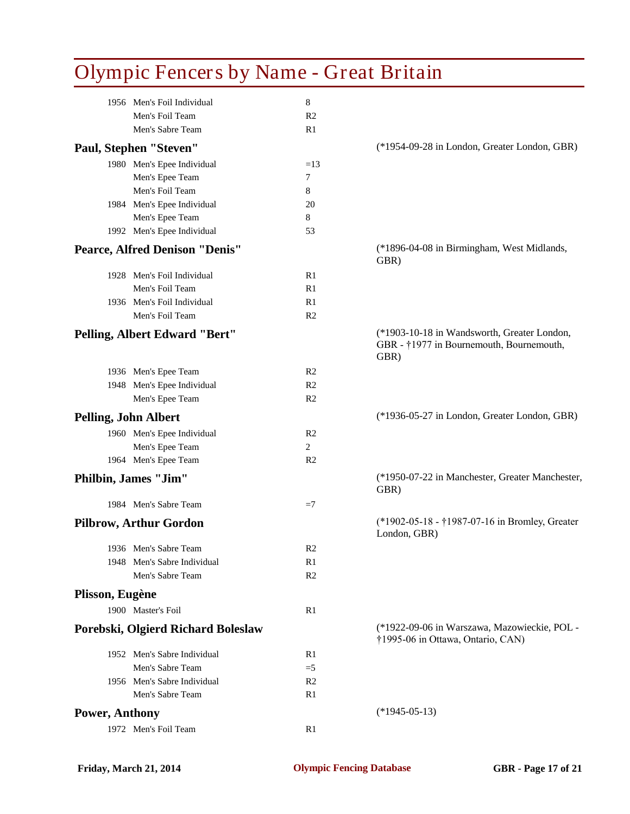| <b>Olympic Fencers by Name - Great Britain</b> |                |                                                                                                 |
|------------------------------------------------|----------------|-------------------------------------------------------------------------------------------------|
| 1956 Men's Foil Individual                     | 8              |                                                                                                 |
| Men's Foil Team                                | R <sub>2</sub> |                                                                                                 |
| Men's Sabre Team                               | R1             |                                                                                                 |
| Paul, Stephen "Steven"                         |                | (*1954-09-28 in London, Greater London, GBR)                                                    |
| 1980 Men's Epee Individual                     | $=13$          |                                                                                                 |
| Men's Epee Team                                | $\tau$         |                                                                                                 |
| Men's Foil Team                                | 8              |                                                                                                 |
| 1984 Men's Epee Individual                     | 20             |                                                                                                 |
| Men's Epee Team                                | 8              |                                                                                                 |
| 1992 Men's Epee Individual                     | 53             |                                                                                                 |
| <b>Pearce, Alfred Denison "Denis"</b>          |                | (*1896-04-08 in Birmingham, West Midlands,<br>GBR)                                              |
| 1928 Men's Foil Individual                     | R1             |                                                                                                 |
| Men's Foil Team                                | R1             |                                                                                                 |
| 1936 Men's Foil Individual                     | R1             |                                                                                                 |
| Men's Foil Team                                | R <sub>2</sub> |                                                                                                 |
| Pelling, Albert Edward "Bert"                  |                | (*1903-10-18 in Wandsworth, Greater London,<br>GBR - †1977 in Bournemouth, Bournemouth,<br>GBR) |
| 1936 Men's Epee Team                           | R <sub>2</sub> |                                                                                                 |
| 1948 Men's Epee Individual                     | R <sub>2</sub> |                                                                                                 |
| Men's Epee Team                                | R <sub>2</sub> |                                                                                                 |
| <b>Pelling, John Albert</b>                    |                | (*1936-05-27 in London, Greater London, GBR)                                                    |
| 1960 Men's Epee Individual                     | R <sub>2</sub> |                                                                                                 |
| Men's Epee Team                                | 2              |                                                                                                 |
| 1964 Men's Epee Team                           | R <sub>2</sub> |                                                                                                 |
| Philbin, James "Jim"                           |                | (*1950-07-22 in Manchester, Greater Manchester,<br>GBR)                                         |
| 1984 Men's Sabre Team                          | $=7$           |                                                                                                 |
| <b>Pilbrow, Arthur Gordon</b>                  |                | (*1902-05-18 - †1987-07-16 in Bromley, Greater<br>London, GBR)                                  |
| 1936 Men's Sabre Team                          | R <sub>2</sub> |                                                                                                 |
| 1948 Men's Sabre Individual                    | R1             |                                                                                                 |
| Men's Sabre Team                               | R <sub>2</sub> |                                                                                                 |
| Plisson, Eugène                                |                |                                                                                                 |
| 1900 Master's Foil                             | R1             |                                                                                                 |
| Porebski, Olgierd Richard Boleslaw             |                | (*1922-09-06 in Warszawa, Mazowieckie, POL -<br>†1995-06 in Ottawa, Ontario, CAN)               |
| 1952 Men's Sabre Individual                    | R1             |                                                                                                 |
| Men's Sabre Team                               | $=$ 5          |                                                                                                 |
| 1956 Men's Sabre Individual                    | R <sub>2</sub> |                                                                                                 |
| Men's Sabre Team                               | R1             |                                                                                                 |
| <b>Power, Anthony</b>                          |                | $(*1945-05-13)$                                                                                 |
| 1972 Men's Foil Team                           | R1             |                                                                                                 |
|                                                |                |                                                                                                 |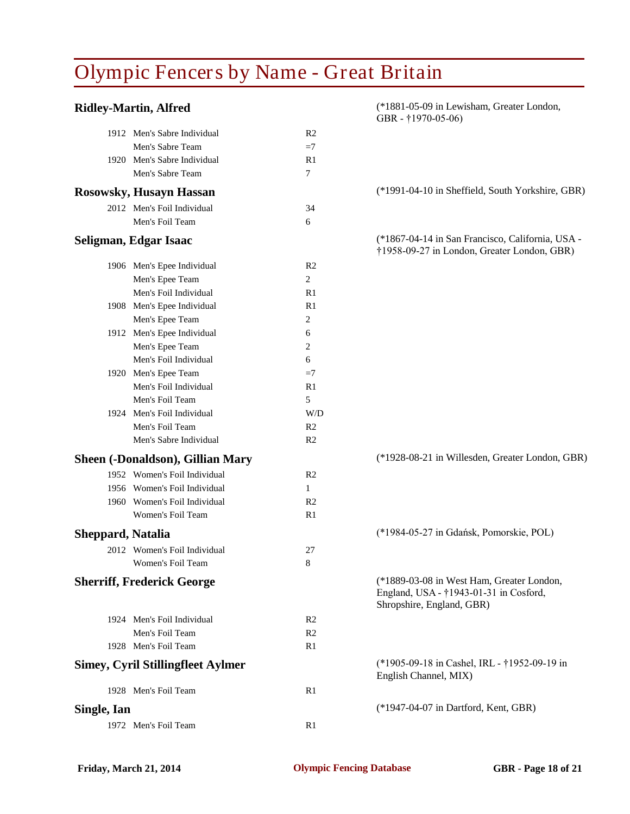#### **Ridley-Martin, Alfred** (\*1881-05-09 in Lewisham, Greater London,

|                   |                                          |                | GBR - $\uparrow$ 1970-05-06)                                                                                     |
|-------------------|------------------------------------------|----------------|------------------------------------------------------------------------------------------------------------------|
|                   | 1912 Men's Sabre Individual              | R <sub>2</sub> |                                                                                                                  |
|                   | Men's Sabre Team                         | $=7$           |                                                                                                                  |
|                   | 1920 Men's Sabre Individual              | R1             |                                                                                                                  |
|                   | Men's Sabre Team                         | 7              |                                                                                                                  |
|                   | <b>Rosowsky, Husayn Hassan</b>           |                | (*1991-04-10 in Sheffield, South Yorkshire, GBR)                                                                 |
|                   | 2012 Men's Foil Individual               | 34             |                                                                                                                  |
|                   | Men's Foil Team                          | 6              |                                                                                                                  |
|                   | Seligman, Edgar Isaac                    |                | (*1867-04-14 in San Francisco, California, USA -<br>†1958-09-27 in London, Greater London, GBR)                  |
|                   | 1906 Men's Epee Individual               | R <sub>2</sub> |                                                                                                                  |
|                   | Men's Epee Team                          | 2              |                                                                                                                  |
|                   | Men's Foil Individual                    | R <sub>1</sub> |                                                                                                                  |
|                   | 1908 Men's Epee Individual               | R <sub>1</sub> |                                                                                                                  |
|                   | Men's Epee Team                          | 2              |                                                                                                                  |
|                   | 1912 Men's Epee Individual               | 6              |                                                                                                                  |
|                   | Men's Epee Team                          | 2              |                                                                                                                  |
|                   | Men's Foil Individual                    | 6              |                                                                                                                  |
|                   | 1920 Men's Epee Team                     | $=7$           |                                                                                                                  |
|                   | Men's Foil Individual                    | R <sub>1</sub> |                                                                                                                  |
|                   | Men's Foil Team                          | 5              |                                                                                                                  |
|                   | 1924 Men's Foil Individual               | W/D            |                                                                                                                  |
|                   | Men's Foil Team                          | R <sub>2</sub> |                                                                                                                  |
|                   | Men's Sabre Individual                   | R <sub>2</sub> |                                                                                                                  |
|                   | Sheen (-Donaldson), Gillian Mary         |                | (*1928-08-21 in Willesden, Greater London, GBR)                                                                  |
|                   | 1952 Women's Foil Individual             | R <sub>2</sub> |                                                                                                                  |
|                   | 1956 Women's Foil Individual             | $\mathbf{1}$   |                                                                                                                  |
|                   | 1960 Women's Foil Individual             | R <sub>2</sub> |                                                                                                                  |
|                   | Women's Foil Team                        | R1             |                                                                                                                  |
| Sheppard, Natalia |                                          |                | (*1984-05-27 in Gdańsk, Pomorskie, POL)                                                                          |
|                   | 2012 Women's Foil Individual             | 27             |                                                                                                                  |
|                   | Women's Foil Team                        | 8              |                                                                                                                  |
|                   | <b>Sherriff, Frederick George</b>        |                | (*1889-03-08 in West Ham, Greater London,<br>England, USA - †1943-01-31 in Cosford,<br>Shropshire, England, GBR) |
|                   | 1924 Men's Foil Individual               | R <sub>2</sub> |                                                                                                                  |
|                   | Men's Foil Team                          | R <sub>2</sub> |                                                                                                                  |
|                   | 1928 Men's Foil Team                     | R1             |                                                                                                                  |
|                   | <b>Simey, Cyril Stillingfleet Aylmer</b> |                | (*1905-09-18 in Cashel, IRL - †1952-09-19 in<br>English Channel, MIX)                                            |
|                   | 1928 Men's Foil Team                     | R <sub>1</sub> |                                                                                                                  |
| Single, Ian       |                                          |                | (*1947-04-07 in Dartford, Kent, GBR)                                                                             |
|                   | 1972 Men's Foil Team                     | R1             |                                                                                                                  |
|                   |                                          |                |                                                                                                                  |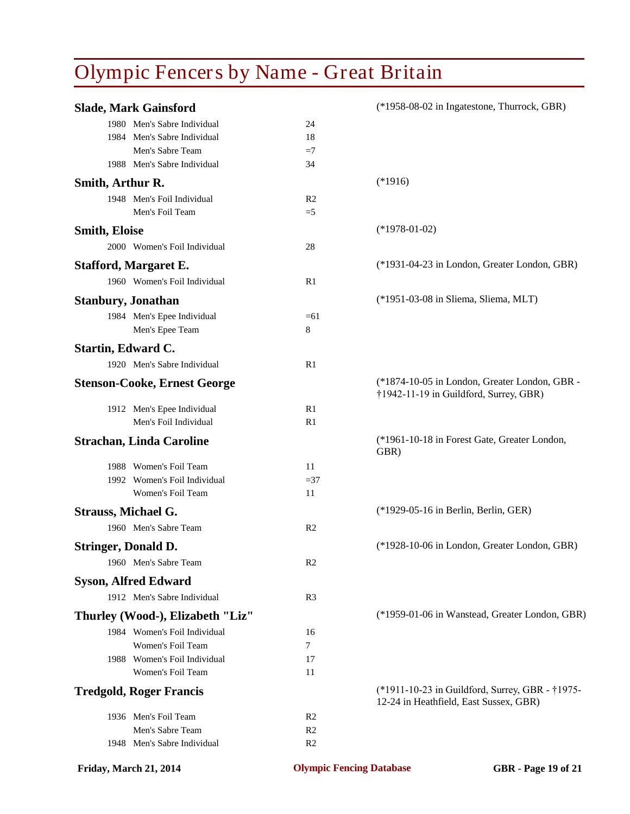|                            | <b>Slade, Mark Gainsford</b>        |                | (*1958-08-02 in Ingatestone, Thurrock, GBR)                                               |
|----------------------------|-------------------------------------|----------------|-------------------------------------------------------------------------------------------|
|                            | 1980 Men's Sabre Individual         | 24             |                                                                                           |
|                            | 1984 Men's Sabre Individual         | 18             |                                                                                           |
|                            | Men's Sabre Team                    | $=7$           |                                                                                           |
|                            | 1988 Men's Sabre Individual         | 34             |                                                                                           |
| Smith, Arthur R.           |                                     |                | $(*1916)$                                                                                 |
|                            | 1948 Men's Foil Individual          | R <sub>2</sub> |                                                                                           |
|                            | Men's Foil Team                     | $=5$           |                                                                                           |
| <b>Smith, Eloise</b>       |                                     |                | $(*1978-01-02)$                                                                           |
|                            | 2000 Women's Foil Individual        | 28             |                                                                                           |
|                            | <b>Stafford, Margaret E.</b>        |                | (*1931-04-23 in London, Greater London, GBR)                                              |
|                            | 1960 Women's Foil Individual        | R1             |                                                                                           |
| <b>Stanbury, Jonathan</b>  |                                     |                | (*1951-03-08 in Sliema, Sliema, MLT)                                                      |
|                            | 1984 Men's Epee Individual          | $=61$          |                                                                                           |
|                            | Men's Epee Team                     | 8              |                                                                                           |
| <b>Startin, Edward C.</b>  |                                     |                |                                                                                           |
|                            | 1920 Men's Sabre Individual         | R <sub>1</sub> |                                                                                           |
|                            | <b>Stenson-Cooke, Ernest George</b> |                | (*1874-10-05 in London, Greater London, GBR -<br>†1942-11-19 in Guildford, Surrey, GBR)   |
|                            | 1912 Men's Epee Individual          | R1             |                                                                                           |
|                            | Men's Foil Individual               | R <sub>1</sub> |                                                                                           |
|                            | <b>Strachan, Linda Caroline</b>     |                | (*1961-10-18 in Forest Gate, Greater London,<br>GBR)                                      |
|                            | 1988 Women's Foil Team              | 11             |                                                                                           |
|                            | 1992 Women's Foil Individual        | $=37$          |                                                                                           |
|                            | Women's Foil Team                   | 11             |                                                                                           |
| <b>Strauss, Michael G.</b> |                                     |                | (*1929-05-16 in Berlin, Berlin, GER)                                                      |
|                            | 1960 Men's Sabre Team               | R <sub>2</sub> |                                                                                           |
| <b>Stringer, Donald D.</b> |                                     |                | (*1928-10-06 in London, Greater London, GBR)                                              |
|                            | 1960 Men's Sabre Team               | R <sub>2</sub> |                                                                                           |
|                            | <b>Syson, Alfred Edward</b>         |                |                                                                                           |
|                            | 1912 Men's Sabre Individual         | R <sub>3</sub> |                                                                                           |
|                            | Thurley (Wood-), Elizabeth "Liz"    |                | (*1959-01-06 in Wanstead, Greater London, GBR)                                            |
|                            | 1984 Women's Foil Individual        | 16             |                                                                                           |
|                            | Women's Foil Team                   | 7              |                                                                                           |
|                            | 1988 Women's Foil Individual        | 17             |                                                                                           |
|                            | Women's Foil Team                   | 11             |                                                                                           |
|                            | <b>Tredgold, Roger Francis</b>      |                | (*1911-10-23 in Guildford, Surrey, GBR - †1975-<br>12-24 in Heathfield, East Sussex, GBR) |
|                            | 1936 Men's Foil Team                | R <sub>2</sub> |                                                                                           |
|                            | Men's Sabre Team                    | R <sub>2</sub> |                                                                                           |
|                            | 1948 Men's Sabre Individual         | R <sub>2</sub> |                                                                                           |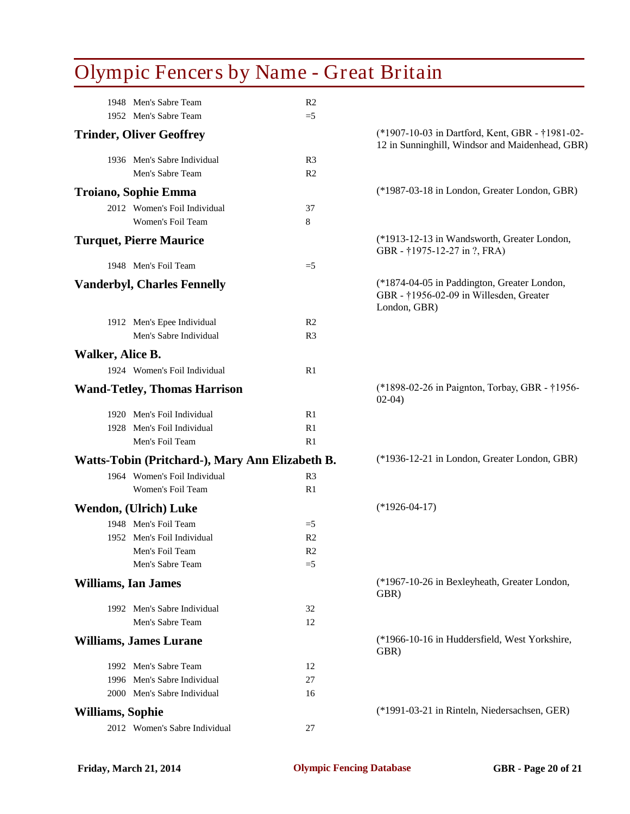|                         | 1948 Men's Sabre Team                           | R <sub>2</sub> |                                                                                                        |
|-------------------------|-------------------------------------------------|----------------|--------------------------------------------------------------------------------------------------------|
|                         | 1952 Men's Sabre Team                           | $=5$           |                                                                                                        |
|                         | <b>Trinder, Oliver Geoffrey</b>                 |                | (*1907-10-03 in Dartford, Kent, GBR - †1981-02-<br>12 in Sunninghill, Windsor and Maidenhead, GBR)     |
|                         | 1936 Men's Sabre Individual                     | R <sub>3</sub> |                                                                                                        |
|                         | Men's Sabre Team                                | R <sub>2</sub> |                                                                                                        |
|                         | Troiano, Sophie Emma                            |                | (*1987-03-18 in London, Greater London, GBR)                                                           |
|                         | 2012 Women's Foil Individual                    | 37             |                                                                                                        |
|                         | Women's Foil Team                               | 8              |                                                                                                        |
|                         | <b>Turquet, Pierre Maurice</b>                  |                | (*1913-12-13 in Wandsworth, Greater London,<br>GBR - †1975-12-27 in ?, FRA)                            |
|                         | 1948 Men's Foil Team                            | $=$ 5          |                                                                                                        |
|                         | <b>Vanderbyl, Charles Fennelly</b>              |                | (*1874-04-05 in Paddington, Greater London,<br>GBR - †1956-02-09 in Willesden, Greater<br>London, GBR) |
|                         | 1912 Men's Epee Individual                      | R <sub>2</sub> |                                                                                                        |
|                         | Men's Sabre Individual                          | R <sub>3</sub> |                                                                                                        |
| Walker, Alice B.        |                                                 |                |                                                                                                        |
|                         | 1924 Women's Foil Individual                    | R1             |                                                                                                        |
|                         | <b>Wand-Tetley, Thomas Harrison</b>             |                | (*1898-02-26 in Paignton, Torbay, GBR - †1956-<br>$02-04)$                                             |
|                         | 1920 Men's Foil Individual                      | R1             |                                                                                                        |
|                         | 1928 Men's Foil Individual                      | R1             |                                                                                                        |
|                         | Men's Foil Team                                 | R1             |                                                                                                        |
|                         | Watts-Tobin (Pritchard-), Mary Ann Elizabeth B. |                | (*1936-12-21 in London, Greater London, GBR)                                                           |
|                         | 1964 Women's Foil Individual                    | R <sub>3</sub> |                                                                                                        |
|                         | Women's Foil Team                               | R1             |                                                                                                        |
|                         | Wendon, (Ulrich) Luke                           |                | $(*1926-04-17)$                                                                                        |
|                         | 1948 Men's Foil Team                            | $=$ 5          |                                                                                                        |
|                         | 1952 Men's Foil Individual                      | R <sub>2</sub> |                                                                                                        |
|                         | Men's Foil Team                                 | R <sub>2</sub> |                                                                                                        |
|                         | Men's Sabre Team                                | $=$ 5          |                                                                                                        |
|                         | <b>Williams, Ian James</b>                      |                | (*1967-10-26 in Bexleyheath, Greater London,<br>GBR)                                                   |
|                         | 1992 Men's Sabre Individual                     | 32             |                                                                                                        |
|                         | Men's Sabre Team                                | 12             |                                                                                                        |
|                         | <b>Williams, James Lurane</b>                   |                | (*1966-10-16 in Huddersfield, West Yorkshire,<br>GBR)                                                  |
|                         | 1992 Men's Sabre Team                           | 12             |                                                                                                        |
|                         | 1996 Men's Sabre Individual                     | 27             |                                                                                                        |
|                         | 2000 Men's Sabre Individual                     | 16             |                                                                                                        |
| <b>Williams, Sophie</b> |                                                 |                | (*1991-03-21 in Rinteln, Niedersachsen, GER)                                                           |
|                         | 2012 Women's Sabre Individual                   | 27             |                                                                                                        |